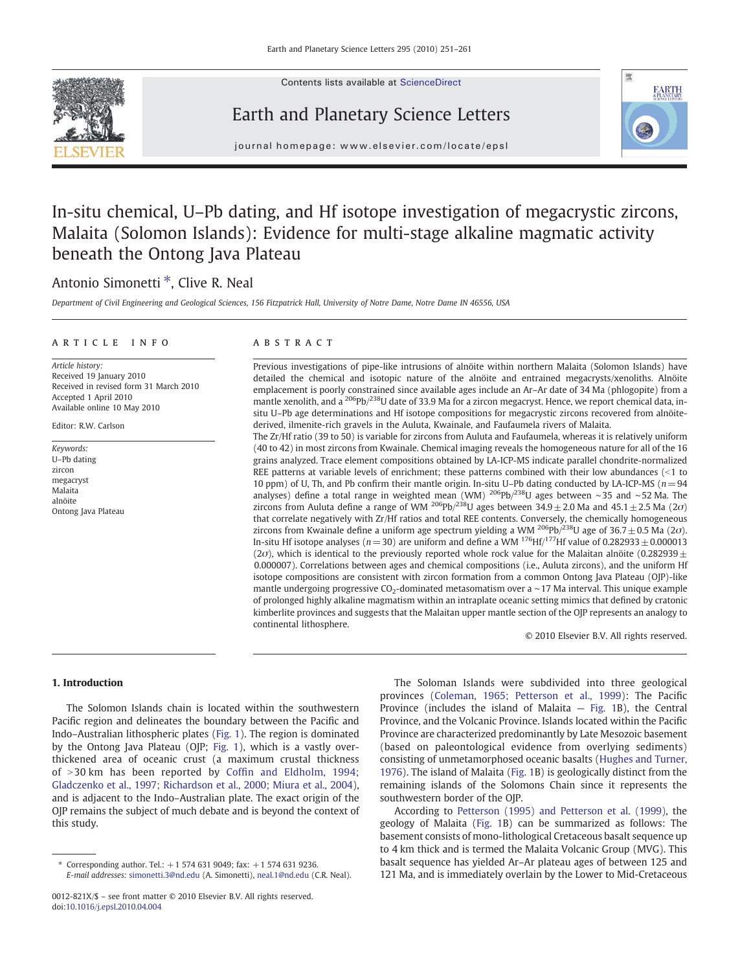

Contents lists available at ScienceDirect

# Earth and Planetary Science Letters



journal homepage: www.elsevier.com/locate/epsl

# In-situ chemical, U–Pb dating, and Hf isotope investigation of megacrystic zircons, Malaita (Solomon Islands): Evidence for multi-stage alkaline magmatic activity beneath the Ontong Java Plateau

## Antonio Simonetti  $*$ , Clive R. Neal

Department of Civil Engineering and Geological Sciences, 156 Fitzpatrick Hall, University of Notre Dame, Notre Dame IN 46556, USA

#### article info abstract

Article history: Received 19 January 2010 Received in revised form 31 March 2010 Accepted 1 April 2010 Available online 10 May 2010

Editor: R.W. Carlson

Keywords: U–Pb dating zircon megacryst Malaita alnöite Ontong Java Plateau

Previous investigations of pipe-like intrusions of alnöite within northern Malaita (Solomon Islands) have detailed the chemical and isotopic nature of the alnöite and entrained megacrysts/xenoliths. Alnöite emplacement is poorly constrained since available ages include an Ar–Ar date of 34 Ma (phlogopite) from a mantle xenolith, and a  $^{206}Pb/^{238}U$  date of 33.9 Ma for a zircon megacryst. Hence, we report chemical data, insitu U–Pb age determinations and Hf isotope compositions for megacrystic zircons recovered from alnöitederived, ilmenite-rich gravels in the Auluta, Kwainale, and Faufaumela rivers of Malaita.

The Zr/Hf ratio (39 to 50) is variable for zircons from Auluta and Faufaumela, whereas it is relatively uniform (40 to 42) in most zircons from Kwainale. Chemical imaging reveals the homogeneous nature for all of the 16 grains analyzed. Trace element compositions obtained by LA-ICP-MS indicate parallel chondrite-normalized REE patterns at variable levels of enrichment; these patterns combined with their low abundances  $($  < 1 to 10 ppm) of U, Th, and Pb confirm their mantle origin. In-situ U–Pb dating conducted by LA-ICP-MS ( $n=94$ ) analyses) define a total range in weighted mean (WM) 206Pb/238U ages between ∼35 and ∼52 Ma. The zircons from Auluta define a range of WM <sup>206</sup>Pb/<sup>238</sup>U ages between 34.9 ± 2.0 Ma and 45.1 ± 2.5 Ma (2*o*) that correlate negatively with Zr/Hf ratios and total REE contents. Conversely, the chemically homogeneous zircons from Kwainale define a uniform age spectrum yielding a WM  $^{206}Pb/^{238}U$  age of 36.7  $\pm$  0.5 Ma (2*o*). In-situ Hf isotope analyses ( $n=$  30) are uniform and define a WM  $^{176}$ Hf/<sup>177</sup>Hf value of 0.282933  $\pm$  0.000013 (2 $\sigma$ ), which is identical to the previously reported whole rock value for the Malaitan alnöite (0.282939 $\pm$ 0.000007). Correlations between ages and chemical compositions (i.e., Auluta zircons), and the uniform Hf isotope compositions are consistent with zircon formation from a common Ontong Java Plateau (OJP)-like mantle undergoing progressive CO<sub>2</sub>-dominated metasomatism over a ~17 Ma interval. This unique example of prolonged highly alkaline magmatism within an intraplate oceanic setting mimics that defined by cratonic kimberlite provinces and suggests that the Malaitan upper mantle section of the OJP represents an analogy to continental lithosphere.

© 2010 Elsevier B.V. All rights reserved.

### 1. Introduction

The Solomon Islands chain is located within the southwestern Pacific region and delineates the boundary between the Pacific and Indo–Australian lithospheric plates ([Fig. 1](#page-1-0)). The region is dominated by the Ontong Java Plateau (OJP; [Fig. 1](#page-1-0)), which is a vastly overthickened area of oceanic crust (a maximum crustal thickness of >30 km has been reported by Coffi[n and Eldholm, 1994;](#page-9-0) [Gladczenko et al., 1997; Richardson et al., 2000; Miura et al., 2004](#page-9-0)), and is adjacent to the Indo–Australian plate. The exact origin of the OJP remains the subject of much debate and is beyond the context of this study.

The Soloman Islands were subdivided into three geological provinces [\(Coleman, 1965; Petterson et al., 1999\)](#page-9-0): The Pacific Province (includes the island of Malaita — [Fig. 1](#page-1-0)B), the Central Province, and the Volcanic Province. Islands located within the Pacific Province are characterized predominantly by Late Mesozoic basement (based on paleontological evidence from overlying sediments) consisting of unmetamorphosed oceanic basalts ([Hughes and Turner,](#page-9-0) [1976\)](#page-9-0). The island of Malaita ([Fig. 1B](#page-1-0)) is geologically distinct from the remaining islands of the Solomons Chain since it represents the southwestern border of the OJP.

According to [Petterson \(1995\) and Petterson et al. \(1999\)](#page-10-0), the geology of Malaita ([Fig. 1B](#page-1-0)) can be summarized as follows: The basement consists of mono-lithological Cretaceous basalt sequence up to 4 km thick and is termed the Malaita Volcanic Group (MVG). This basalt sequence has yielded Ar–Ar plateau ages of between 125 and 121 Ma, and is immediately overlain by the Lower to Mid-Cretaceous

Corresponding author. Tel.:  $+1$  574 631 9049; fax:  $+1$  574 631 9236. E-mail addresses: [simonetti.3@nd.edu](mailto:simonetti.3@nd.edu) (A. Simonetti), [neal.1@nd.edu](mailto:neal.1@nd.edu) (C.R. Neal).

<sup>0012-821</sup>X/\$ – see front matter © 2010 Elsevier B.V. All rights reserved. doi:[10.1016/j.epsl.2010.04.004](http://dx.doi.org/10.1016/j.epsl.2010.04.004)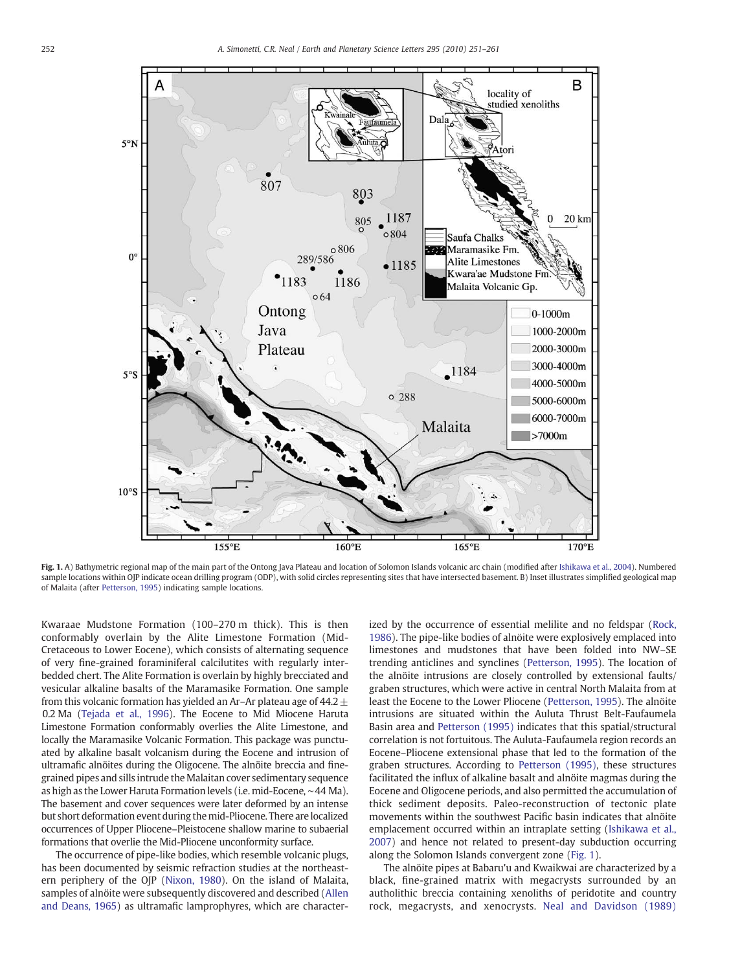<span id="page-1-0"></span>

Fig. 1. A) Bathymetric regional map of the main part of the Ontong Java Plateau and location of Solomon Islands volcanic arc chain (modified after [Ishikawa et al., 2004](#page-9-0)). Numbered sample locations within OJP indicate ocean drilling program (ODP), with solid circles representing sites that have intersected basement. B) Inset illustrates simplified geological map of Malaita (after [Petterson, 1995\)](#page-10-0) indicating sample locations.

Kwaraae Mudstone Formation (100–270 m thick). This is then conformably overlain by the Alite Limestone Formation (Mid-Cretaceous to Lower Eocene), which consists of alternating sequence of very fine-grained foraminiferal calcilutites with regularly interbedded chert. The Alite Formation is overlain by highly brecciated and vesicular alkaline basalts of the Maramasike Formation. One sample from this volcanic formation has yielded an Ar–Ar plateau age of  $44.2±$ 0.2 Ma ([Tejada et al., 1996\)](#page-10-0). The Eocene to Mid Miocene Haruta Limestone Formation conformably overlies the Alite Limestone, and locally the Maramasike Volcanic Formation. This package was punctuated by alkaline basalt volcanism during the Eocene and intrusion of ultramafic alnöites during the Oligocene. The alnöite breccia and finegrained pipes and sills intrude the Malaitan cover sedimentary sequence as high as the Lower Haruta Formation levels (i.e. mid-Eocene, ∼44 Ma). The basement and cover sequences were later deformed by an intense but short deformation event during the mid-Pliocene. There are localized occurrences of Upper Pliocene–Pleistocene shallow marine to subaerial formations that overlie the Mid-Pliocene unconformity surface.

The occurrence of pipe-like bodies, which resemble volcanic plugs, has been documented by seismic refraction studies at the northeastern periphery of the OJP [\(Nixon, 1980\)](#page-10-0). On the island of Malaita, samples of alnöite were subsequently discovered and described ([Allen](#page-9-0) [and Deans, 1965](#page-9-0)) as ultramafic lamprophyres, which are characterized by the occurrence of essential melilite and no feldspar [\(Rock,](#page-10-0) [1986\)](#page-10-0). The pipe-like bodies of alnöite were explosively emplaced into limestones and mudstones that have been folded into NW–SE trending anticlines and synclines ([Petterson, 1995\)](#page-10-0). The location of the alnöite intrusions are closely controlled by extensional faults/ graben structures, which were active in central North Malaita from at least the Eocene to the Lower Pliocene ([Petterson, 1995\)](#page-10-0). The alnöite intrusions are situated within the Auluta Thrust Belt-Faufaumela Basin area and [Petterson \(1995\)](#page-10-0) indicates that this spatial/structural correlation is not fortuitous. The Auluta-Faufaumela region records an Eocene–Pliocene extensional phase that led to the formation of the graben structures. According to [Petterson \(1995\),](#page-10-0) these structures facilitated the influx of alkaline basalt and alnöite magmas during the Eocene and Oligocene periods, and also permitted the accumulation of thick sediment deposits. Paleo-reconstruction of tectonic plate movements within the southwest Pacific basin indicates that alnöite emplacement occurred within an intraplate setting [\(Ishikawa et al.,](#page-9-0) [2007\)](#page-9-0) and hence not related to present-day subduction occurring along the Solomon Islands convergent zone (Fig. 1).

The alnöite pipes at Babaru'u and Kwaikwai are characterized by a black, fine-grained matrix with megacrysts surrounded by an autholithic breccia containing xenoliths of peridotite and country rock, megacrysts, and xenocrysts. [Neal and Davidson \(1989\)](#page-10-0)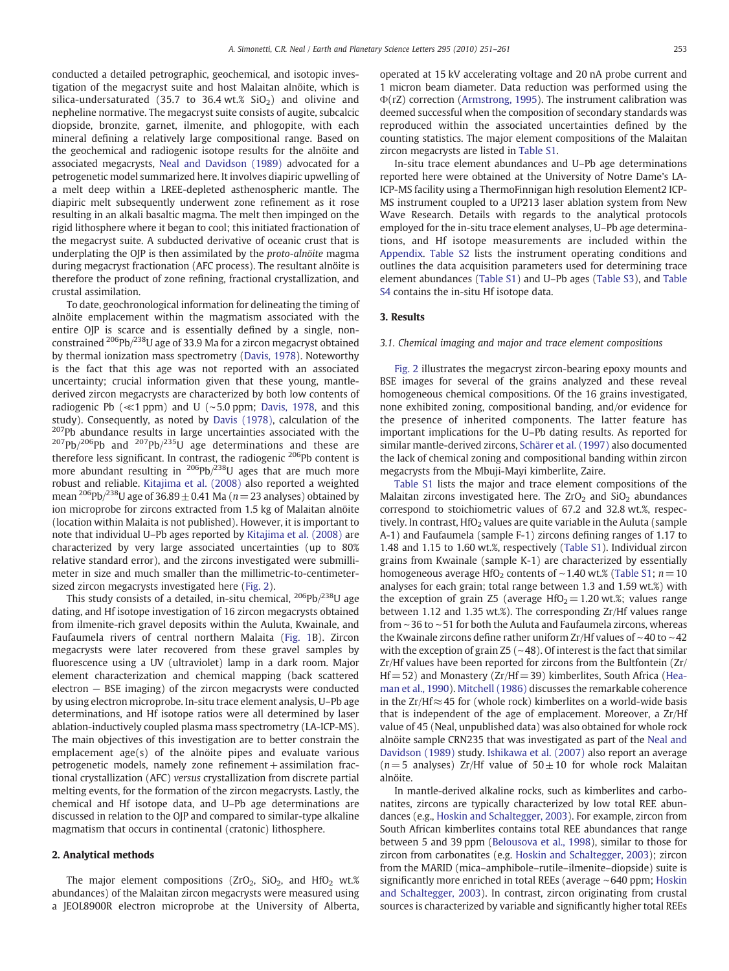conducted a detailed petrographic, geochemical, and isotopic investigation of the megacryst suite and host Malaitan alnöite, which is silica-undersaturated (35.7 to 36.4 wt.%  $SiO<sub>2</sub>$ ) and olivine and nepheline normative. The megacryst suite consists of augite, subcalcic diopside, bronzite, garnet, ilmenite, and phlogopite, with each mineral defining a relatively large compositional range. Based on the geochemical and radiogenic isotope results for the alnöite and associated megacrysts, [Neal and Davidson \(1989\)](#page-10-0) advocated for a petrogenetic model summarized here. It involves diapiric upwelling of a melt deep within a LREE-depleted asthenospheric mantle. The diapiric melt subsequently underwent zone refinement as it rose resulting in an alkali basaltic magma. The melt then impinged on the rigid lithosphere where it began to cool; this initiated fractionation of the megacryst suite. A subducted derivative of oceanic crust that is underplating the OJP is then assimilated by the proto-alnöite magma during megacryst fractionation (AFC process). The resultant alnöite is therefore the product of zone refining, fractional crystallization, and crustal assimilation.

To date, geochronological information for delineating the timing of alnöite emplacement within the magmatism associated with the entire OJP is scarce and is essentially defined by a single, nonconstrained 206Pb/238U age of 33.9 Ma for a zircon megacryst obtained by thermal ionization mass spectrometry ([Davis, 1978\)](#page-9-0). Noteworthy is the fact that this age was not reported with an associated uncertainty; crucial information given that these young, mantlederived zircon megacrysts are characterized by both low contents of radiogenic Pb (≪1 ppm) and U (∼5.0 ppm; [Davis, 1978](#page-9-0), and this study). Consequently, as noted by [Davis \(1978\),](#page-9-0) calculation of the <sup>207</sup>Pb abundance results in large uncertainties associated with the  $207Pb/206Pb$  and  $207Pb/235U$  age determinations and these are therefore less significant. In contrast, the radiogenic <sup>206</sup>Pb content is more abundant resulting in  $^{206}Pb/^{238}U$  ages that are much more robust and reliable. [Kitajima et al. \(2008\)](#page-9-0) also reported a weighted mean <sup>206</sup>Pb/<sup>238</sup>U age of 36.89  $\pm$  0.41 Ma (n = 23 analyses) obtained by ion microprobe for zircons extracted from 1.5 kg of Malaitan alnöite (location within Malaita is not published). However, it is important to note that individual U–Pb ages reported by [Kitajima et al. \(2008\)](#page-9-0) are characterized by very large associated uncertainties (up to 80% relative standard error), and the zircons investigated were submillimeter in size and much smaller than the millimetric-to-centimetersized zircon megacrysts investigated here ([Fig. 2\)](#page-3-0).

This study consists of a detailed, in-situ chemical,  $^{206}Pb/^{238}U$  age dating, and Hf isotope investigation of 16 zircon megacrysts obtained from ilmenite-rich gravel deposits within the Auluta, Kwainale, and Faufaumela rivers of central northern Malaita ([Fig. 1](#page-1-0)B). Zircon megacrysts were later recovered from these gravel samples by fluorescence using a UV (ultraviolet) lamp in a dark room. Major element characterization and chemical mapping (back scattered electron — BSE imaging) of the zircon megacrysts were conducted by using electron microprobe. In-situ trace element analysis, U–Pb age determinations, and Hf isotope ratios were all determined by laser ablation-inductively coupled plasma mass spectrometry (LA-ICP-MS). The main objectives of this investigation are to better constrain the emplacement age(s) of the alnöite pipes and evaluate various  $p$ etrogenetic models, namely zone refinement + assimilation fractional crystallization (AFC) versus crystallization from discrete partial melting events, for the formation of the zircon megacrysts. Lastly, the chemical and Hf isotope data, and U–Pb age determinations are discussed in relation to the OJP and compared to similar-type alkaline magmatism that occurs in continental (cratonic) lithosphere.

#### 2. Analytical methods

The major element compositions ( $ZrO_2$ ,  $SiO_2$ , and  $HfO_2$  wt.% abundances) of the Malaitan zircon megacrysts were measured using a JEOL8900R electron microprobe at the University of Alberta, operated at 15 kV accelerating voltage and 20 nA probe current and 1 micron beam diameter. Data reduction was performed using the Φ(rΖ) correction [\(Armstrong, 1995\)](#page-9-0). The instrument calibration was deemed successful when the composition of secondary standards was reproduced within the associated uncertainties defined by the counting statistics. The major element compositions of the Malaitan zircon megacrysts are listed in Table S1.

In-situ trace element abundances and U–Pb age determinations reported here were obtained at the University of Notre Dame's LA-ICP-MS facility using a ThermoFinnigan high resolution Element2 ICP-MS instrument coupled to a UP213 laser ablation system from New Wave Research. Details with regards to the analytical protocols employed for the in-situ trace element analyses, U–Pb age determinations, and Hf isotope measurements are included within the Appendix. Table S2 lists the instrument operating conditions and outlines the data acquisition parameters used for determining trace element abundances (Table S1) and U–Pb ages (Table S3), and Table S4 contains the in-situ Hf isotope data.

#### 3. Results

#### 3.1. Chemical imaging and major and trace element compositions

[Fig. 2](#page-3-0) illustrates the megacryst zircon-bearing epoxy mounts and BSE images for several of the grains analyzed and these reveal homogeneous chemical compositions. Of the 16 grains investigated, none exhibited zoning, compositional banding, and/or evidence for the presence of inherited components. The latter feature has important implications for the U–Pb dating results. As reported for similar mantle-derived zircons, [Schärer et al. \(1997\)](#page-10-0) also documented the lack of chemical zoning and compositional banding within zircon megacrysts from the Mbuji-Mayi kimberlite, Zaire.

Table S1 lists the major and trace element compositions of the Malaitan zircons investigated here. The  $ZrO<sub>2</sub>$  and  $SiO<sub>2</sub>$  abundances correspond to stoichiometric values of 67.2 and 32.8 wt.%, respectively. In contrast,  $HfO<sub>2</sub>$  values are quite variable in the Auluta (sample A-1) and Faufaumela (sample F-1) zircons defining ranges of 1.17 to 1.48 and 1.15 to 1.60 wt.%, respectively (Table S1). Individual zircon grains from Kwainale (sample K-1) are characterized by essentially homogeneous average HfO<sub>2</sub> contents of ~1.40 wt.% (Table S1;  $n=10$ ) analyses for each grain; total range between 1.3 and 1.59 wt.%) with the exception of grain Z5 (average  $HfO<sub>2</sub>= 1.20$  wt.%; values range between 1.12 and 1.35 wt.%). The corresponding Zr/Hf values range from ∼36 to ∼51 for both the Auluta and Faufaumela zircons, whereas the Kwainale zircons define rather uniform Zr/Hf values of ∼40 to ∼42 with the exception of grain Z5 (∼48). Of interest is the fact that similar Zr/Hf values have been reported for zircons from the Bultfontein (Zr/  $Hf = 52$ ) and Monastery (Zr/Hf = 39) kimberlites, South Africa [\(Hea](#page-9-0)[man et al., 1990\)](#page-9-0). [Mitchell \(1986\)](#page-9-0) discusses the remarkable coherence in the Zr/Hf≈45 for (whole rock) kimberlites on a world-wide basis that is independent of the age of emplacement. Moreover, a Zr/Hf value of 45 (Neal, unpublished data) was also obtained for whole rock alnöite sample CRN235 that was investigated as part of the [Neal and](#page-10-0) [Davidson \(1989\)](#page-10-0) study. [Ishikawa et al. \(2007\)](#page-9-0) also report an average ( $n=$  5 analyses) Zr/Hf value of  $50 \pm 10$  for whole rock Malaitan alnöite.

In mantle-derived alkaline rocks, such as kimberlites and carbonatites, zircons are typically characterized by low total REE abundances (e.g., [Hoskin and Schaltegger, 2003\)](#page-9-0). For example, zircon from South African kimberlites contains total REE abundances that range between 5 and 39 ppm ([Belousova et al., 1998\)](#page-9-0), similar to those for zircon from carbonatites (e.g. [Hoskin and Schaltegger, 2003](#page-9-0)); zircon from the MARID (mica–amphibole–rutile–ilmenite–diopside) suite is significantly more enriched in total REEs (average ∼640 ppm; [Hoskin](#page-9-0) [and Schaltegger, 2003\)](#page-9-0). In contrast, zircon originating from crustal sources is characterized by variable and significantly higher total REEs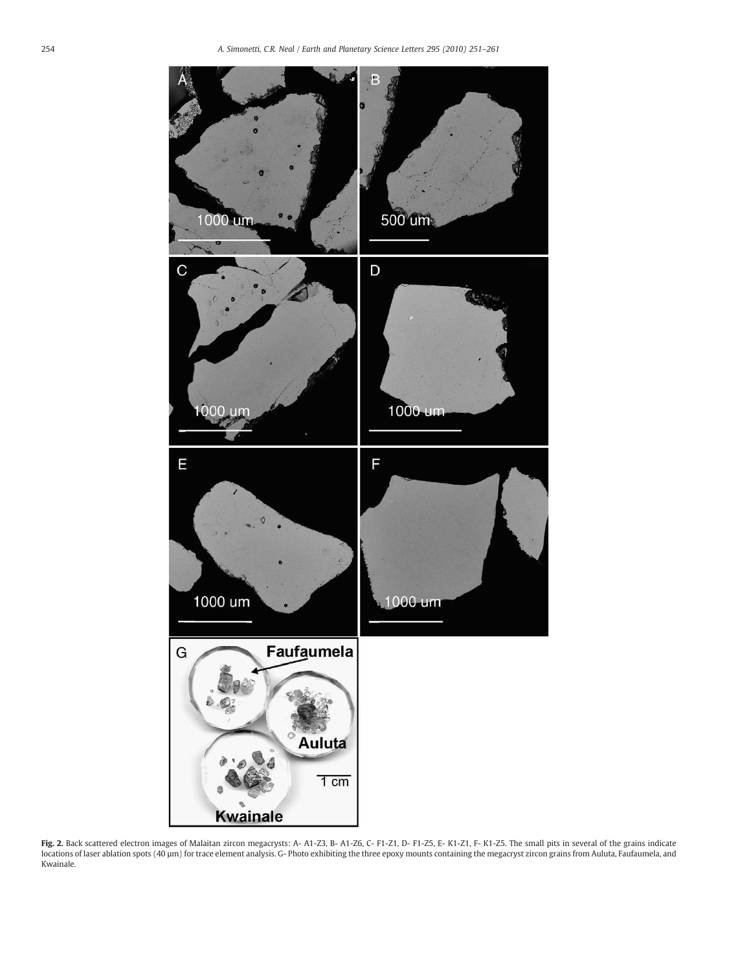<span id="page-3-0"></span>

Fig. 2. Back scattered electron images of Malaitan zircon megacrysts: A- A1-Z3, B- A1-Z6, C- F1-Z1, D- F1-Z5, E- K1-Z1, F- K1-Z5. The small pits in several of the grains indicate locations of laser ablation spots (40 µm) for trace element analysis. G- Photo exhibiting the three epoxy mounts containing the megacryst zircon grains from Auluta, Faufaumela, and Kwainale.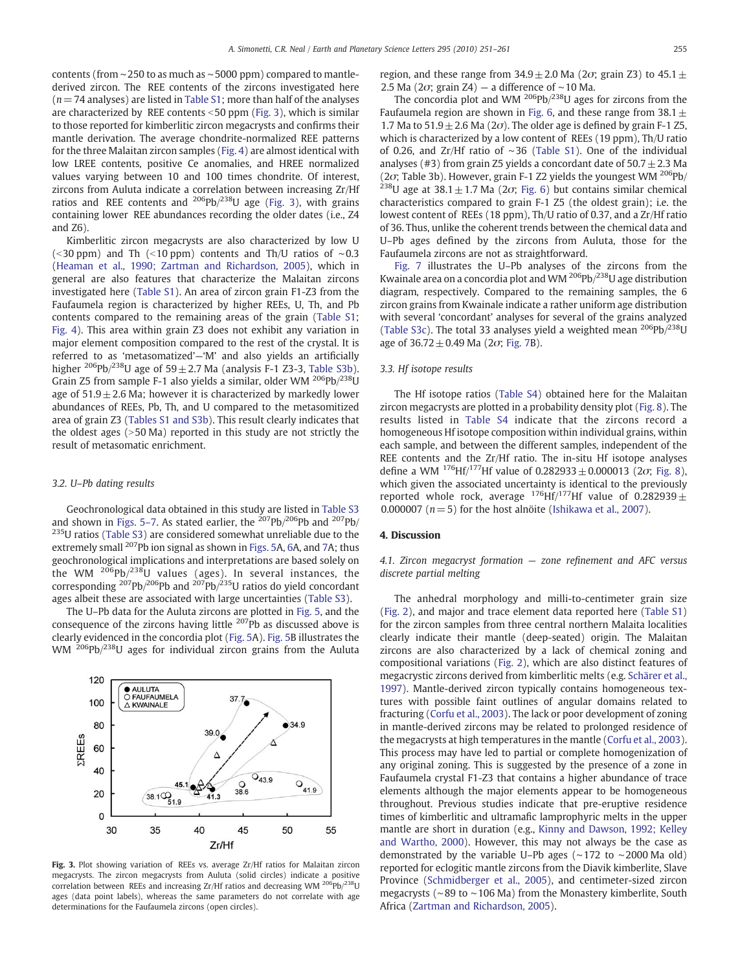<span id="page-4-0"></span>contents (from ∼250 to as much as ∼5000 ppm) compared to mantlederived zircon. The REE contents of the zircons investigated here  $(n= 74$  analyses) are listed in Table S1; more than half of the analyses are characterized by REE contents  $<$  50 ppm (Fig. 3), which is similar to those reported for kimberlitic zircon megacrysts and confirms their mantle derivation. The average chondrite-normalized REE patterns for the three Malaitan zircon samples ([Fig. 4\)](#page-5-0) are almost identical with low LREE contents, positive Ce anomalies, and HREE normalized values varying between 10 and 100 times chondrite. Of interest, zircons from Auluta indicate a correlation between increasing Zr/Hf ratios and REE contents and  $^{206}Pb/^{238}U$  age (Fig. 3), with grains containing lower REE abundances recording the older dates (i.e., Z4 and Z6).

Kimberlitic zircon megacrysts are also characterized by low U (<30 ppm) and Th (<10 ppm) contents and Th/U ratios of ∼0.3 [\(Heaman et al., 1990; Zartman and Richardson, 2005\)](#page-9-0), which in general are also features that characterize the Malaitan zircons investigated here (Table S1). An area of zircon grain F1-Z3 from the Faufaumela region is characterized by higher REEs, U, Th, and Pb contents compared to the remaining areas of the grain (Table S1; [Fig. 4\)](#page-5-0). This area within grain Z3 does not exhibit any variation in major element composition compared to the rest of the crystal. It is referred to as 'metasomatized'—'M' and also yields an artificially higher  $^{206}Pb/^{238}U$  age of 59 $\pm$  2.7 Ma (analysis F-1 Z3-3, Table S3b). Grain Z5 from sample F-1 also yields a similar, older WM  $^{206}Pb/^{238}U$ age of  $51.9 \pm 2.6$  Ma; however it is characterized by markedly lower abundances of REEs, Pb, Th, and U compared to the metasomitized area of grain Z3 (Tables S1 and S3b). This result clearly indicates that the oldest ages  $(>50$  Ma) reported in this study are not strictly the result of metasomatic enrichment.

#### 3.2. U–Pb dating results

Geochronological data obtained in this study are listed in Table S3 and shown in [Figs. 5](#page-5-0)–7. As stated earlier, the  $207Pb/206Pb$  and  $207Pb/$  $235$ U ratios (Table S3) are considered somewhat unreliable due to the extremely small <sup>207</sup>Pb ion signal as shown in [Figs. 5](#page-5-0)A, [6](#page-5-0)A, and [7A](#page-6-0); thus geochronological implications and interpretations are based solely on the WM  $^{206}Pb/^{238}U$  values (ages). In several instances, the corresponding  $^{207}Pb/^{206}Pb$  and  $^{207}Pb/^{235}U$  ratios do yield concordant ages albeit these are associated with large uncertainties (Table S3).

The U–Pb data for the Auluta zircons are plotted in [Fig. 5,](#page-5-0) and the consequence of the zircons having little  $207$ Pb as discussed above is clearly evidenced in the concordia plot [\(Fig. 5](#page-5-0)A). [Fig. 5](#page-5-0)B illustrates the WM <sup>206</sup>Pb/<sup>238</sup>U ages for individual zircon grains from the Auluta



Fig. 3. Plot showing variation of REEs vs. average Zr/Hf ratios for Malaitan zircon megacrysts. The zircon megacrysts from Auluta (solid circles) indicate a positive correlation between REEs and increasing Zr/Hf ratios and decreasing WM  $^{206}Pb/^{238}U$ ages (data point labels), whereas the same parameters do not correlate with age determinations for the Faufaumela zircons (open circles).

region, and these range from  $34.9 \pm 2.0$  Ma (2 $\sigma$ ; grain Z3) to 45.1  $\pm$ 2.5 Ma (2 $\sigma$ ; grain Z4) — a difference of ~10 Ma.

The concordia plot and WM  $^{206}Pb^{238}U$  ages for zircons from the Faufaumela region are shown in [Fig. 6,](#page-5-0) and these range from  $38.1 \pm$ 1.7 Ma to  $51.9 \pm 2.6$  Ma ( $2\sigma$ ). The older age is defined by grain F-1 Z5, which is characterized by a low content of REEs (19 ppm), Th/U ratio of 0.26, and Zr/Hf ratio of ∼36 (Table S1). One of the individual analyses (#3) from grain Z5 yields a concordant date of  $50.7 \pm 2.3$  Ma (2o; Table 3b). However, grain F-1 Z2 yields the youngest WM <sup>206</sup>Pb/ <sup>238</sup>U age at 38.1  $\pm$  1.7 Ma (2 $\sigma$ ; [Fig. 6\)](#page-5-0) but contains similar chemical characteristics compared to grain F-1 Z5 (the oldest grain); i.e. the lowest content of REEs (18 ppm), Th/U ratio of 0.37, and a Zr/Hf ratio of 36. Thus, unlike the coherent trends between the chemical data and U–Pb ages defined by the zircons from Auluta, those for the Faufaumela zircons are not as straightforward.

[Fig. 7](#page-6-0) illustrates the U–Pb analyses of the zircons from the Kwainale area on a concordia plot and WM 206Pb/238U age distribution diagram, respectively. Compared to the remaining samples, the 6 zircon grains from Kwainale indicate a rather uniform age distribution with several 'concordant' analyses for several of the grains analyzed (Table S3c). The total 33 analyses yield a weighted mean  $^{206}Pb/^{238}U$ age of  $36.72 \pm 0.49$  Ma (2 $\sigma$ ; [Fig. 7](#page-6-0)B).

#### 3.3. Hf isotope results

The Hf isotope ratios (Table S4) obtained here for the Malaitan zircon megacrysts are plotted in a probability density plot [\(Fig. 8](#page-6-0)). The results listed in Table S4 indicate that the zircons record a homogeneous Hf isotope composition within individual grains, within each sample, and between the different samples, independent of the REE contents and the Zr/Hf ratio. The in-situ Hf isotope analyses define a WM  $^{176}$ Hf/<sup>177</sup>Hf value of 0.282933  $\pm$  0.000013 (2 $\sigma$ ; [Fig. 8](#page-6-0)), which given the associated uncertainty is identical to the previously reported whole rock, average  $^{176}$ Hf/<sup>177</sup>Hf value of 0.282939 $\pm$ 0.000007 ( $n=5$ ) for the host alnöite ([Ishikawa et al., 2007\)](#page-9-0).

#### 4. Discussion

4.1. Zircon megacryst formation — zone refinement and AFC versus discrete partial melting

The anhedral morphology and milli-to-centimeter grain size [\(Fig. 2\)](#page-3-0), and major and trace element data reported here (Table S1) for the zircon samples from three central northern Malaita localities clearly indicate their mantle (deep-seated) origin. The Malaitan zircons are also characterized by a lack of chemical zoning and compositional variations [\(Fig. 2](#page-3-0)), which are also distinct features of megacrystic zircons derived from kimberlitic melts (e.g. [Schärer et al.,](#page-10-0) [1997\)](#page-10-0). Mantle-derived zircon typically contains homogeneous textures with possible faint outlines of angular domains related to fracturing ([Corfu et al., 2003\)](#page-9-0). The lack or poor development of zoning in mantle-derived zircons may be related to prolonged residence of the megacrysts at high temperatures in the mantle [\(Corfu et al., 2003](#page-9-0)). This process may have led to partial or complete homogenization of any original zoning. This is suggested by the presence of a zone in Faufaumela crystal F1-Z3 that contains a higher abundance of trace elements although the major elements appear to be homogeneous throughout. Previous studies indicate that pre-eruptive residence times of kimberlitic and ultramafic lamprophyric melts in the upper mantle are short in duration (e.g., [Kinny and Dawson, 1992; Kelley](#page-9-0) [and Wartho, 2000](#page-9-0)). However, this may not always be the case as demonstrated by the variable U–Pb ages (∼172 to ∼2000 Ma old) reported for eclogitic mantle zircons from the Diavik kimberlite, Slave Province [\(Schmidberger et al., 2005](#page-10-0)), and centimeter-sized zircon megacrysts (∼89 to ∼106 Ma) from the Monastery kimberlite, South Africa ([Zartman and Richardson, 2005\)](#page-10-0).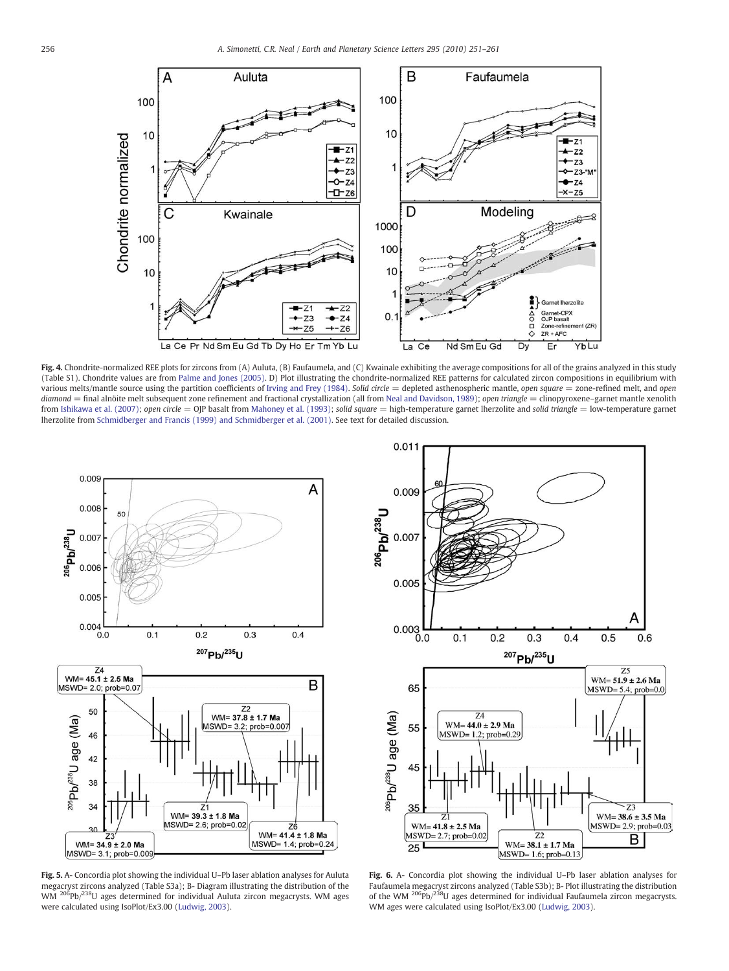<span id="page-5-0"></span>

Fig. 4. Chondrite-normalized REE plots for zircons from (A) Auluta, (B) Faufaumela, and (C) Kwainale exhibiting the average compositions for all of the grains analyzed in this study (Table S1). Chondrite values are from [Palme and Jones \(2005\)](#page-10-0). D) Plot illustrating the chondrite-normalized REE patterns for calculated zircon compositions in equilibrium with various melts/mantle source using the partition coefficients of [Irving and Frey \(1984\).](#page-9-0) Solid circle = depleted asthenospheric mantle, open square = zone-refined melt, and open diamond = final alnöite melt subsequent zone refinement and fractional crystallization (all from [Neal and Davidson, 1989\)](#page-10-0); open triangle = clinopyroxene-garnet mantle xenolith from [Ishikawa et al. \(2007\);](#page-9-0) open circle = OJP basalt from [Mahoney et al. \(1993\);](#page-9-0) solid square = high-temperature garnet lherzolite and solid triangle = low-temperature garnet lherzolite from [Schmidberger and Francis \(1999\) and Schmidberger et al. \(2001\).](#page-10-0) See text for detailed discussion.



Fig. 5. A- Concordia plot showing the individual U–Pb laser ablation analyses for Auluta megacryst zircons analyzed (Table S3a); B- Diagram illustrating the distribution of the WM <sup>206</sup>Pb/<sup>238</sup>U ages determined for individual Auluta zircon megacrysts. WM ages were calculated using IsoPlot/Ex3.00 ([Ludwig, 2003](#page-9-0)).



Fig. 6. A- Concordia plot showing the individual U–Pb laser ablation analyses for Faufaumela megacryst zircons analyzed (Table S3b); B- Plot illustrating the distribution of the WM  $^{206}Pb/^{238}U$  ages determined for individual Faufaumela zircon megacrysts. WM ages were calculated using IsoPlot/Ex3.00 ([Ludwig, 2003](#page-9-0)).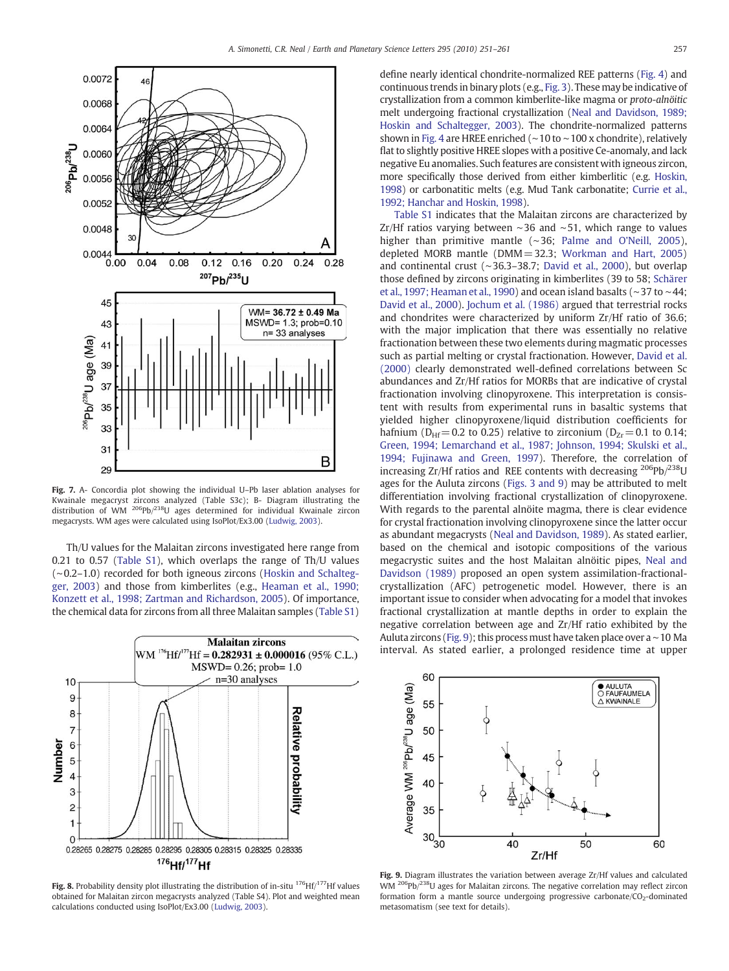<span id="page-6-0"></span>

Fig. 7. A- Concordia plot showing the individual U–Pb laser ablation analyses for Kwainale megacryst zircons analyzed (Table S3c); B- Diagram illustrating the distribution of WM 206Pb/238U ages determined for individual Kwainale zircon megacrysts. WM ages were calculated using IsoPlot/Ex3.00 ([Ludwig, 2003](#page-9-0)).

Th/U values for the Malaitan zircons investigated here range from 0.21 to 0.57 (Table S1), which overlaps the range of Th/U values (∼0.2–1.0) recorded for both igneous zircons ([Hoskin and Schalteg](#page-9-0)[ger, 2003](#page-9-0)) and those from kimberlites (e.g., [Heaman et al., 1990;](#page-9-0) [Konzett et al., 1998; Zartman and Richardson, 2005](#page-9-0)). Of importance, the chemical data for zircons from all three Malaitan samples (Table S1)



Fig. 8. Probability density plot illustrating the distribution of in-situ  $^{176}$ Hf/ $^{177}$ Hf values obtained for Malaitan zircon megacrysts analyzed (Table S4). Plot and weighted mean calculations conducted using IsoPlot/Ex3.00 [\(Ludwig, 2003\)](#page-9-0).

define nearly identical chondrite-normalized REE patterns ([Fig. 4](#page-5-0)) and continuous trends in binary plots (e.g., [Fig. 3](#page-4-0)). These may be indicative of crystallization from a common kimberlite-like magma or proto-alnöitic melt undergoing fractional crystallization [\(Neal and Davidson, 1989;](#page-10-0) [Hoskin and Schaltegger, 2003\)](#page-10-0). The chondrite-normalized patterns shown in [Fig. 4](#page-5-0) are HREE enriched (∼10 to ∼100 x chondrite), relatively flat to slightly positive HREE slopes with a positive Ce-anomaly, and lack negative Eu anomalies. Such features are consistent with igneous zircon, more specifically those derived from either kimberlitic (e.g. [Hoskin,](#page-9-0) [1998](#page-9-0)) or carbonatitic melts (e.g. Mud Tank carbonatite; [Currie et al.,](#page-9-0) [1992; Hanchar and Hoskin, 1998](#page-9-0)).

Table S1 indicates that the Malaitan zircons are characterized by Zr/Hf ratios varying between ∼36 and ∼51, which range to values higher than primitive mantle (∼36; [Palme and O'Neill, 2005](#page-10-0)), depleted MORB mantle (DMM= 32.3; [Workman and Hart, 2005](#page-10-0)) and continental crust (∼36.3–38.7; [David et al., 2000](#page-9-0)), but overlap those defined by zircons originating in kimberlites (39 to 58; [Schärer](#page-10-0) [et al., 1997; Heaman et al., 1990\)](#page-10-0) and ocean island basalts (∼37 to ∼44; [David et al., 2000](#page-9-0)). [Jochum et al. \(1986\)](#page-9-0) argued that terrestrial rocks and chondrites were characterized by uniform Zr/Hf ratio of 36.6; with the major implication that there was essentially no relative fractionation between these two elements during magmatic processes such as partial melting or crystal fractionation. However, [David et al.](#page-9-0) [\(2000\)](#page-9-0) clearly demonstrated well-defined correlations between Sc abundances and Zr/Hf ratios for MORBs that are indicative of crystal fractionation involving clinopyroxene. This interpretation is consistent with results from experimental runs in basaltic systems that yielded higher clinopyroxene/liquid distribution coefficients for hafnium ( $D_{\text{Hf}}$ = 0.2 to 0.25) relative to zirconium ( $D_{\text{Zr}}$ = 0.1 to 0.14; [Green, 1994; Lemarchand et al., 1987; Johnson, 1994; Skulski et al.,](#page-9-0) [1994; Fujinawa and Green, 1997](#page-9-0)). Therefore, the correlation of increasing Zr/Hf ratios and REE contents with decreasing  $^{206}Pb/^{238}U$ ages for the Auluta zircons ([Figs. 3 and 9\)](#page-4-0) may be attributed to melt differentiation involving fractional crystallization of clinopyroxene. With regards to the parental alnöite magma, there is clear evidence for crystal fractionation involving clinopyroxene since the latter occur as abundant megacrysts ([Neal and Davidson, 1989\)](#page-10-0). As stated earlier, based on the chemical and isotopic compositions of the various megacrystic suites and the host Malaitan alnöitic pipes, [Neal and](#page-10-0) [Davidson \(1989\)](#page-10-0) proposed an open system assimilation-fractionalcrystallization (AFC) petrogenetic model. However, there is an important issue to consider when advocating for a model that invokes fractional crystallization at mantle depths in order to explain the negative correlation between age and Zr/Hf ratio exhibited by the Auluta zircons (Fig. 9); this processmust have taken place over a∼10 Ma interval. As stated earlier, a prolonged residence time at upper



Fig. 9. Diagram illustrates the variation between average Zr/Hf values and calculated WM <sup>206</sup>Pb/<sup>238</sup>U ages for Malaitan zircons. The negative correlation may reflect zircon formation form a mantle source undergoing progressive carbonate/ $CO<sub>2</sub>$ -dominated metasomatism (see text for details).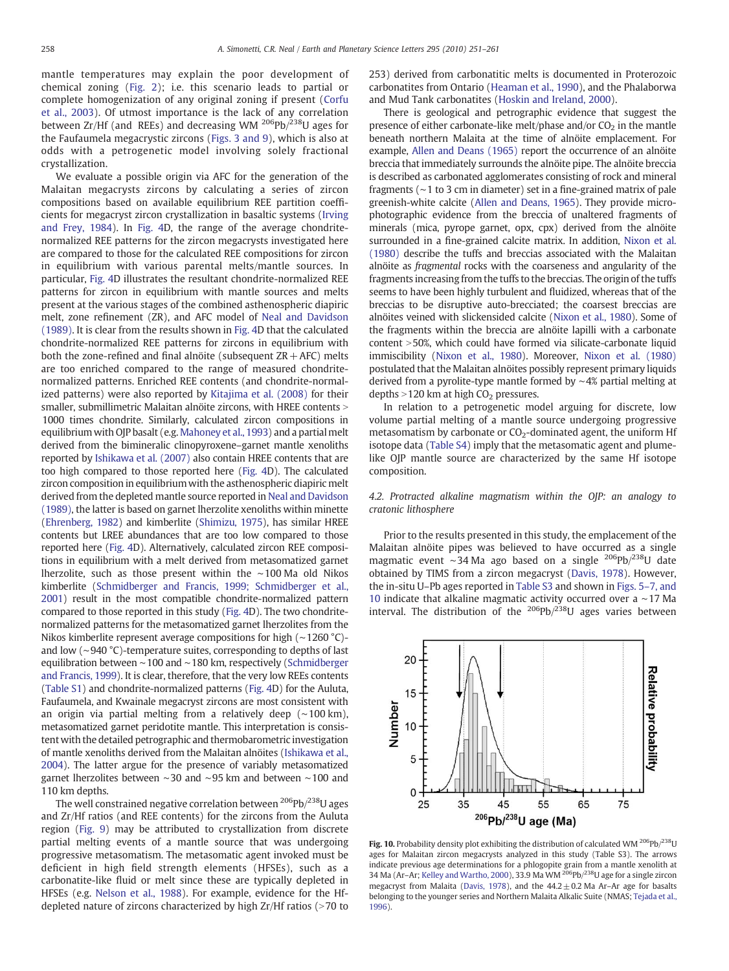<span id="page-7-0"></span>mantle temperatures may explain the poor development of chemical zoning ([Fig. 2](#page-3-0)); i.e. this scenario leads to partial or complete homogenization of any original zoning if present ([Corfu](#page-9-0) [et al., 2003\)](#page-9-0). Of utmost importance is the lack of any correlation between Zr/Hf (and REEs) and decreasing WM  $^{206}Pb/^{238}U$  ages for the Faufaumela megacrystic zircons ([Figs. 3 and 9](#page-4-0)), which is also at odds with a petrogenetic model involving solely fractional crystallization.

We evaluate a possible origin via AFC for the generation of the Malaitan megacrysts zircons by calculating a series of zircon compositions based on available equilibrium REE partition coefficients for megacryst zircon crystallization in basaltic systems [\(Irving](#page-9-0) [and Frey, 1984\)](#page-9-0). In [Fig. 4D](#page-5-0), the range of the average chondritenormalized REE patterns for the zircon megacrysts investigated here are compared to those for the calculated REE compositions for zircon in equilibrium with various parental melts/mantle sources. In particular, [Fig. 4D](#page-5-0) illustrates the resultant chondrite-normalized REE patterns for zircon in equilibrium with mantle sources and melts present at the various stages of the combined asthenospheric diapiric melt, zone refinement (ZR), and AFC model of [Neal and Davidson](#page-10-0) [\(1989\).](#page-10-0) It is clear from the results shown in [Fig. 4](#page-5-0)D that the calculated chondrite-normalized REE patterns for zircons in equilibrium with both the zone-refined and final alnöite (subsequent  $ZR + AFC$ ) melts are too enriched compared to the range of measured chondritenormalized patterns. Enriched REE contents (and chondrite-normalized patterns) were also reported by [Kitajima et al. \(2008\)](#page-9-0) for their smaller, submillimetric Malaitan alnöite zircons, with HREE contents > 1000 times chondrite. Similarly, calculated zircon compositions in equilibrium with OJP basalt (e.g. [Mahoney et al., 1993](#page-9-0)) and a partial melt derived from the bimineralic clinopyroxene–garnet mantle xenoliths reported by [Ishikawa et al. \(2007\)](#page-9-0) also contain HREE contents that are too high compared to those reported here [\(Fig. 4](#page-5-0)D). The calculated zircon composition in equilibrium with the asthenospheric diapiric melt derived from the depleted mantle source reported in [Neal and Davidson](#page-10-0) [\(1989\)](#page-10-0), the latter is based on garnet lherzolite xenoliths within minette [\(Ehrenberg, 1982\)](#page-9-0) and kimberlite [\(Shimizu, 1975](#page-10-0)), has similar HREE contents but LREE abundances that are too low compared to those reported here [\(Fig. 4D](#page-5-0)). Alternatively, calculated zircon REE compositions in equilibrium with a melt derived from metasomatized garnet lherzolite, such as those present within the ∼100 Ma old Nikos kimberlite ([Schmidberger and Francis, 1999; Schmidberger et al.,](#page-10-0) [2001\)](#page-10-0) result in the most compatible chondrite-normalized pattern compared to those reported in this study ([Fig. 4](#page-5-0)D). The two chondritenormalized patterns for the metasomatized garnet lherzolites from the Nikos kimberlite represent average compositions for high (∼1260 °C) and low (∼940 °C)-temperature suites, corresponding to depths of last equilibration between ∼100 and ∼180 km, respectively [\(Schmidberger](#page-10-0) [and Francis, 1999](#page-10-0)). It is clear, therefore, that the very low REEs contents (Table S1) and chondrite-normalized patterns [\(Fig. 4](#page-5-0)D) for the Auluta, Faufaumela, and Kwainale megacryst zircons are most consistent with an origin via partial melting from a relatively deep (∼100 km), metasomatized garnet peridotite mantle. This interpretation is consistent with the detailed petrographic and thermobarometric investigation of mantle xenoliths derived from the Malaitan alnöites ([Ishikawa et al.,](#page-9-0) [2004\)](#page-9-0). The latter argue for the presence of variably metasomatized garnet lherzolites between ∼30 and ∼95 km and between ∼100 and 110 km depths.

The well constrained negative correlation between  $^{206}$ Pb/ $^{238}$ U ages and Zr/Hf ratios (and REE contents) for the zircons from the Auluta region ([Fig. 9](#page-6-0)) may be attributed to crystallization from discrete partial melting events of a mantle source that was undergoing progressive metasomatism. The metasomatic agent invoked must be deficient in high field strength elements (HFSEs), such as a carbonatite-like fluid or melt since these are typically depleted in HFSEs (e.g. [Nelson et al., 1988\)](#page-10-0). For example, evidence for the Hfdepleted nature of zircons characterized by high  $Zr/Hf$  ratios ( $>70$  to 253) derived from carbonatitic melts is documented in Proterozoic carbonatites from Ontario [\(Heaman et al., 1990\)](#page-9-0), and the Phalaborwa and Mud Tank carbonatites [\(Hoskin and Ireland, 2000](#page-9-0)).

There is geological and petrographic evidence that suggest the presence of either carbonate-like melt/phase and/or  $CO<sub>2</sub>$  in the mantle beneath northern Malaita at the time of alnöite emplacement. For example, [Allen and Deans \(1965\)](#page-9-0) report the occurrence of an alnöite breccia that immediately surrounds the alnöite pipe. The alnöite breccia is described as carbonated agglomerates consisting of rock and mineral fragments (∼1 to 3 cm in diameter) set in a fine-grained matrix of pale greenish-white calcite [\(Allen and Deans, 1965](#page-9-0)). They provide microphotographic evidence from the breccia of unaltered fragments of minerals (mica, pyrope garnet, opx, cpx) derived from the alnöite surrounded in a fine-grained calcite matrix. In addition, [Nixon et al.](#page-10-0) [\(1980\)](#page-10-0) describe the tuffs and breccias associated with the Malaitan alnöite as fragmental rocks with the coarseness and angularity of the fragments increasing from the tuffs to the breccias. The origin of the tuffs seems to have been highly turbulent and fluidized, whereas that of the breccias to be disruptive auto-brecciated; the coarsest breccias are alnöites veined with slickensided calcite [\(Nixon et al., 1980\)](#page-10-0). Some of the fragments within the breccia are alnöite lapilli with a carbonate  $content > 50%$ , which could have formed via silicate-carbonate liquid immiscibility [\(Nixon et al., 1980](#page-10-0)). Moreover, [Nixon et al. \(1980\)](#page-10-0) postulated that the Malaitan alnöites possibly represent primary liquids derived from a pyrolite-type mantle formed by ∼4% partial melting at depths  $>$  120 km at high CO<sub>2</sub> pressures.

In relation to a petrogenetic model arguing for discrete, low volume partial melting of a mantle source undergoing progressive metasomatism by carbonate or  $CO<sub>2</sub>$ -dominated agent, the uniform Hf isotope data (Table S4) imply that the metasomatic agent and plumelike OJP mantle source are characterized by the same Hf isotope composition.

4.2. Protracted alkaline magmatism within the OJP: an analogy to cratonic lithosphere

Prior to the results presented in this study, the emplacement of the Malaitan alnöite pipes was believed to have occurred as a single magmatic event ∼34 Ma ago based on a single 206Pb/238U date obtained by TIMS from a zircon megacryst ([Davis, 1978\)](#page-9-0). However, the in-situ U–Pb ages reported in Table S3 and shown in [Figs. 5](#page-5-0)–7, and [10](#page-5-0) indicate that alkaline magmatic activity occurred over a ∼17 Ma interval. The distribution of the  $206Pb/238U$  ages varies between



Fig. 10. Probability density plot exhibiting the distribution of calculated WM  $^{206}Pb/^{238}U$ ages for Malaitan zircon megacrysts analyzed in this study (Table S3). The arrows indicate previous age determinations for a phlogopite grain from a mantle xenolith at 34 Ma (Ar-Ar; [Kelley and Wartho, 2000\)](#page-9-0), 33.9 Ma WM  $^{206}$ Pb/ $^{238}$ U age for a single zircon megacryst from Malaita ([Davis, 1978\)](#page-9-0), and the  $44.2 \pm 0.2$  Ma Ar-Ar age for basalts belonging to the younger series and Northern Malaita Alkalic Suite (NMAS; [Tejada et al.,](#page-10-0) [1996](#page-10-0)).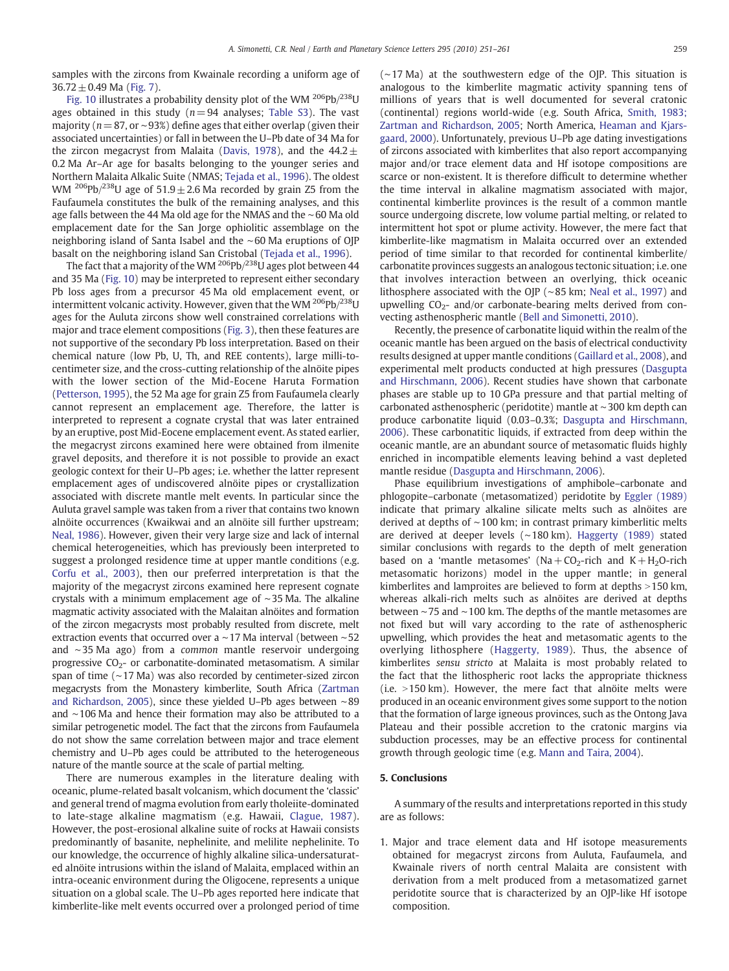samples with the zircons from Kwainale recording a uniform age of  $36.72 \pm 0.49$  Ma ([Fig. 7](#page-6-0)).

[Fig. 10](#page-7-0) illustrates a probability density plot of the WM  $^{206}$ Pb/ $^{238}$ U ages obtained in this study ( $n=94$  analyses; Table S3). The vast majority ( $n = 87$ , or ~93%) define ages that either overlap (given their associated uncertainties) or fall in between the U–Pb date of 34 Ma for the zircon megacryst from Malaita [\(Davis, 1978](#page-9-0)), and the  $44.2 \pm$ 0.2 Ma Ar–Ar age for basalts belonging to the younger series and Northern Malaita Alkalic Suite (NMAS; [Tejada et al., 1996](#page-10-0)). The oldest WM <sup>206</sup>Pb/<sup>238</sup>U age of 51.9  $\pm$  2.6 Ma recorded by grain Z5 from the Faufaumela constitutes the bulk of the remaining analyses, and this age falls between the 44 Ma old age for the NMAS and the ∼60 Ma old emplacement date for the San Jorge ophiolitic assemblage on the neighboring island of Santa Isabel and the ∼60 Ma eruptions of OJP basalt on the neighboring island San Cristobal [\(Tejada et al., 1996](#page-10-0)).

The fact that a majority of the WM  $^{206}Pb/^{238}U$  ages plot between 44 and 35 Ma [\(Fig. 10\)](#page-7-0) may be interpreted to represent either secondary Pb loss ages from a precursor 45 Ma old emplacement event, or intermittent volcanic activity. However, given that the WM  $^{206}Pb/^{238}U$ ages for the Auluta zircons show well constrained correlations with major and trace element compositions ([Fig. 3\)](#page-4-0), then these features are not supportive of the secondary Pb loss interpretation. Based on their chemical nature (low Pb, U, Th, and REE contents), large milli-tocentimeter size, and the cross-cutting relationship of the alnöite pipes with the lower section of the Mid-Eocene Haruta Formation [\(Petterson, 1995\)](#page-10-0), the 52 Ma age for grain Z5 from Faufaumela clearly cannot represent an emplacement age. Therefore, the latter is interpreted to represent a cognate crystal that was later entrained by an eruptive, post Mid-Eocene emplacement event. As stated earlier, the megacryst zircons examined here were obtained from ilmenite gravel deposits, and therefore it is not possible to provide an exact geologic context for their U–Pb ages; i.e. whether the latter represent emplacement ages of undiscovered alnöite pipes or crystallization associated with discrete mantle melt events. In particular since the Auluta gravel sample was taken from a river that contains two known alnöite occurrences (Kwaikwai and an alnöite sill further upstream; [Neal, 1986](#page-10-0)). However, given their very large size and lack of internal chemical heterogeneities, which has previously been interpreted to suggest a prolonged residence time at upper mantle conditions (e.g. [Corfu et al., 2003\)](#page-9-0), then our preferred interpretation is that the majority of the megacryst zircons examined here represent cognate crystals with a minimum emplacement age of ∼35 Ma. The alkaline magmatic activity associated with the Malaitan alnöites and formation of the zircon megacrysts most probably resulted from discrete, melt extraction events that occurred over a ∼17 Ma interval (between ∼52 and ∼35 Ma ago) from a common mantle reservoir undergoing progressive  $CO<sub>2</sub>$ - or carbonatite-dominated metasomatism. A similar span of time (∼17 Ma) was also recorded by centimeter-sized zircon megacrysts from the Monastery kimberlite, South Africa [\(Zartman](#page-10-0) [and Richardson, 2005\)](#page-10-0), since these yielded U–Pb ages between ∼89 and ∼106 Ma and hence their formation may also be attributed to a similar petrogenetic model. The fact that the zircons from Faufaumela do not show the same correlation between major and trace element chemistry and U–Pb ages could be attributed to the heterogeneous nature of the mantle source at the scale of partial melting.

There are numerous examples in the literature dealing with oceanic, plume-related basalt volcanism, which document the 'classic' and general trend of magma evolution from early tholeiite-dominated to late-stage alkaline magmatism (e.g. Hawaii, [Clague, 1987](#page-9-0)). However, the post-erosional alkaline suite of rocks at Hawaii consists predominantly of basanite, nephelinite, and melilite nephelinite. To our knowledge, the occurrence of highly alkaline silica-undersaturated alnöite intrusions within the island of Malaita, emplaced within an intra-oceanic environment during the Oligocene, represents a unique situation on a global scale. The U–Pb ages reported here indicate that kimberlite-like melt events occurred over a prolonged period of time (∼17 Ma) at the southwestern edge of the OJP. This situation is analogous to the kimberlite magmatic activity spanning tens of millions of years that is well documented for several cratonic (continental) regions world-wide (e.g. South Africa, [Smith, 1983;](#page-10-0) [Zartman and Richardson, 2005;](#page-10-0) North America, [Heaman and Kjars](#page-9-0)[gaard, 2000](#page-9-0)). Unfortunately, previous U–Pb age dating investigations of zircons associated with kimberlites that also report accompanying major and/or trace element data and Hf isotope compositions are scarce or non-existent. It is therefore difficult to determine whether the time interval in alkaline magmatism associated with major, continental kimberlite provinces is the result of a common mantle source undergoing discrete, low volume partial melting, or related to intermittent hot spot or plume activity. However, the mere fact that kimberlite-like magmatism in Malaita occurred over an extended period of time similar to that recorded for continental kimberlite/ carbonatite provinces suggests an analogous tectonic situation; i.e. one that involves interaction between an overlying, thick oceanic lithosphere associated with the OJP (∼85 km; [Neal et al., 1997\)](#page-10-0) and upwelling  $CO<sub>2</sub>$ - and/or carbonate-bearing melts derived from convecting asthenospheric mantle ([Bell and Simonetti, 2010](#page-9-0)).

Recently, the presence of carbonatite liquid within the realm of the oceanic mantle has been argued on the basis of electrical conductivity results designed at upper mantle conditions [\(Gaillard et al., 2008](#page-9-0)), and experimental melt products conducted at high pressures ([Dasgupta](#page-9-0) [and Hirschmann, 2006\)](#page-9-0). Recent studies have shown that carbonate phases are stable up to 10 GPa pressure and that partial melting of carbonated asthenospheric (peridotite) mantle at ∼300 km depth can produce carbonatite liquid (0.03–0.3%; [Dasgupta and Hirschmann,](#page-9-0) [2006\)](#page-9-0). These carbonatitic liquids, if extracted from deep within the oceanic mantle, are an abundant source of metasomatic fluids highly enriched in incompatible elements leaving behind a vast depleted mantle residue ([Dasgupta and Hirschmann, 2006\)](#page-9-0).

Phase equilibrium investigations of amphibole–carbonate and phlogopite–carbonate (metasomatized) peridotite by [Eggler \(1989\)](#page-9-0) indicate that primary alkaline silicate melts such as alnöites are derived at depths of ∼100 km; in contrast primary kimberlitic melts are derived at deeper levels (∼180 km). [Haggerty \(1989\)](#page-9-0) stated similar conclusions with regards to the depth of melt generation based on a 'mantle metasomes' (Na +  $CO_2$ -rich and K + H<sub>2</sub>O-rich metasomatic horizons) model in the upper mantle; in general kimberlites and lamproites are believed to form at depths  $>150$  km, whereas alkali-rich melts such as alnöites are derived at depths between ∼75 and ∼100 km. The depths of the mantle metasomes are not fixed but will vary according to the rate of asthenospheric upwelling, which provides the heat and metasomatic agents to the overlying lithosphere ([Haggerty, 1989\)](#page-9-0). Thus, the absence of kimberlites sensu stricto at Malaita is most probably related to the fact that the lithospheric root lacks the appropriate thickness (i.e.  $>150$  km). However, the mere fact that alnöite melts were produced in an oceanic environment gives some support to the notion that the formation of large igneous provinces, such as the Ontong Java Plateau and their possible accretion to the cratonic margins via subduction processes, may be an effective process for continental growth through geologic time (e.g. [Mann and Taira, 2004](#page-9-0)).

#### 5. Conclusions

A summary of the results and interpretations reported in this study are as follows:

1. Major and trace element data and Hf isotope measurements obtained for megacryst zircons from Auluta, Faufaumela, and Kwainale rivers of north central Malaita are consistent with derivation from a melt produced from a metasomatized garnet peridotite source that is characterized by an OJP-like Hf isotope composition.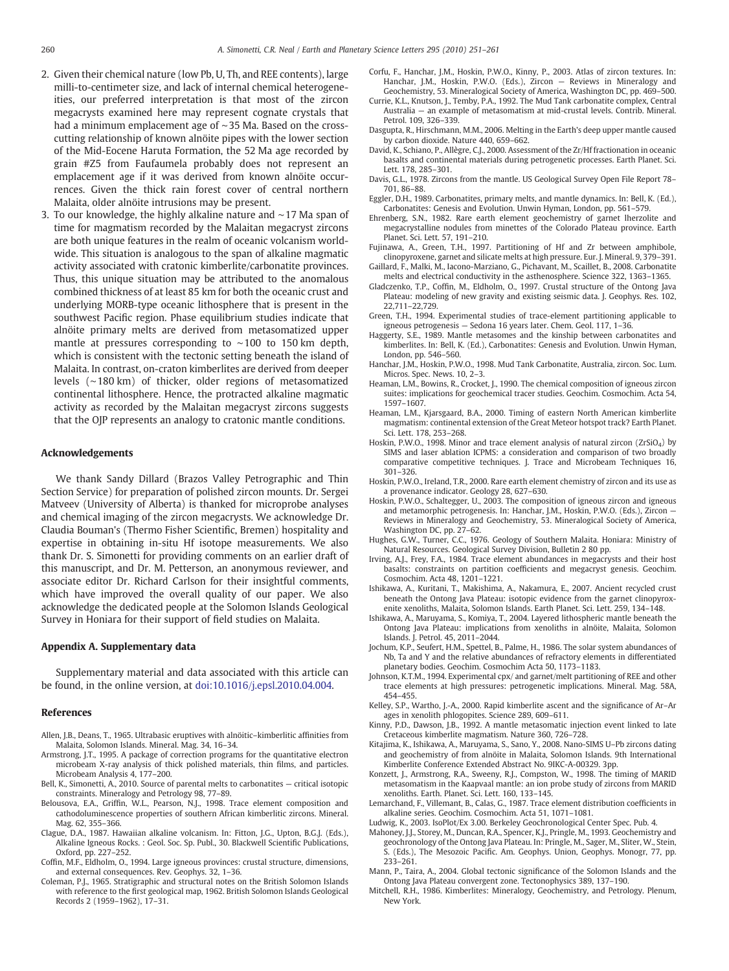- <span id="page-9-0"></span>2. Given their chemical nature (low Pb, U, Th, and REE contents), large milli-to-centimeter size, and lack of internal chemical heterogeneities, our preferred interpretation is that most of the zircon megacrysts examined here may represent cognate crystals that had a minimum emplacement age of ∼35 Ma. Based on the crosscutting relationship of known alnöite pipes with the lower section of the Mid-Eocene Haruta Formation, the 52 Ma age recorded by grain #Z5 from Faufaumela probably does not represent an emplacement age if it was derived from known alnöite occurrences. Given the thick rain forest cover of central northern Malaita, older alnöite intrusions may be present.
- 3. To our knowledge, the highly alkaline nature and ∼17 Ma span of time for magmatism recorded by the Malaitan megacryst zircons are both unique features in the realm of oceanic volcanism worldwide. This situation is analogous to the span of alkaline magmatic activity associated with cratonic kimberlite/carbonatite provinces. Thus, this unique situation may be attributed to the anomalous combined thickness of at least 85 km for both the oceanic crust and underlying MORB-type oceanic lithosphere that is present in the southwest Pacific region. Phase equilibrium studies indicate that alnöite primary melts are derived from metasomatized upper mantle at pressures corresponding to ∼100 to 150 km depth, which is consistent with the tectonic setting beneath the island of Malaita. In contrast, on-craton kimberlites are derived from deeper levels (∼180 km) of thicker, older regions of metasomatized continental lithosphere. Hence, the protracted alkaline magmatic activity as recorded by the Malaitan megacryst zircons suggests that the OJP represents an analogy to cratonic mantle conditions.

#### Acknowledgements

We thank Sandy Dillard (Brazos Valley Petrographic and Thin Section Service) for preparation of polished zircon mounts. Dr. Sergei Matveev (University of Alberta) is thanked for microprobe analyses and chemical imaging of the zircon megacrysts. We acknowledge Dr. Claudia Bouman's (Thermo Fisher Scientific, Bremen) hospitality and expertise in obtaining in-situ Hf isotope measurements. We also thank Dr. S. Simonetti for providing comments on an earlier draft of this manuscript, and Dr. M. Petterson, an anonymous reviewer, and associate editor Dr. Richard Carlson for their insightful comments, which have improved the overall quality of our paper. We also acknowledge the dedicated people at the Solomon Islands Geological Survey in Honiara for their support of field studies on Malaita.

#### Appendix A. Supplementary data

Supplementary material and data associated with this article can be found, in the online version, at doi[:10.1016/j.epsl.2010.04.004](http://dx.doi.org/10.1016/j.epsl.2010.04.004).

#### References

- Allen, J.B., Deans, T., 1965. Ultrabasic eruptives with alnöitic–kimberlitic affinities from Malaita, Solomon Islands. Mineral. Mag. 34, 16–34.
- Armstrong, J.T., 1995. A package of correction programs for the quantitative electron microbeam X-ray analysis of thick polished materials, thin films, and particles. Microbeam Analysis 4, 177–200.
- Bell, K., Simonetti, A., 2010. Source of parental melts to carbonatites critical isotopic constraints. Mineralogy and Petrology 98, 77–89.
- Belousova, E.A., Griffin, W.L., Pearson, N.J., 1998. Trace element composition and cathodoluminescence properties of southern African kimberlitic zircons. Mineral. Mag. 62, 355–366.
- Clague, D.A., 1987. Hawaiian alkaline volcanism. In: Fitton, J.G., Upton, B.G.J. (Eds.), Alkaline Igneous Rocks. : Geol. Soc. Sp. Publ., 30. Blackwell Scientific Publications, Oxford, pp. 227–252.
- Coffin, M.F., Eldholm, O., 1994. Large igneous provinces: crustal structure, dimensions, and external consequences. Rev. Geophys. 32, 1–36.
- Coleman, P.J., 1965. Stratigraphic and structural notes on the British Solomon Islands with reference to the first geological map, 1962. British Solomon Islands Geological Records 2 (1959–1962), 17–31.
- Corfu, F., Hanchar, J.M., Hoskin, P.W.O., Kinny, P., 2003. Atlas of zircon textures. In: Hanchar, J.M., Hoskin, P.W.O. (Eds.), Zircon — Reviews in Mineralogy and Geochemistry, 53. Mineralogical Society of America, Washington DC, pp. 469–500.
- Currie, K.L., Knutson, J., Temby, P.A., 1992. The Mud Tank carbonatite complex, Central Australia — an example of metasomatism at mid-crustal levels. Contrib. Mineral. Petrol. 109, 326–339.
- Dasgupta, R., Hirschmann, M.M., 2006. Melting in the Earth's deep upper mantle caused by carbon dioxide. Nature 440, 659–662.
- David, K., Schiano, P., Allègre, C.J., 2000. Assessment of the Zr/Hf fractionation in oceanic basalts and continental materials during petrogenetic processes. Earth Planet. Sci. Lett. 178, 285–301.
- Davis, G.L., 1978. Zircons from the mantle. US Geological Survey Open File Report 78– 701, 86–88.
- Eggler, D.H., 1989. Carbonatites, primary melts, and mantle dynamics. In: Bell, K. (Ed.), Carbonatites: Genesis and Evolution. Unwin Hyman, London, pp. 561–579.
- Ehrenberg, S.N., 1982. Rare earth element geochemistry of garnet lherzolite and megacrystalline nodules from minettes of the Colorado Plateau province. Earth Planet. Sci. Lett. 57, 191–210.
- Fujinawa, A., Green, T.H., 1997. Partitioning of Hf and Zr between amphibole, clinopyroxene, garnet and silicate melts at high pressure. Eur. J. Mineral. 9, 379–391.
- Gaillard, F., Malki, M., Iacono-Marziano, G., Pichavant, M., Scaillet, B., 2008. Carbonatite melts and electrical conductivity in the asthenosphere. Science 322, 1363–1365.
- Gladczenko, T.P., Coffin, M., Eldholm, O., 1997. Crustal structure of the Ontong Java Plateau: modeling of new gravity and existing seismic data. J. Geophys. Res. 102, 22,711–22,729.
- Green, T.H., 1994. Experimental studies of trace-element partitioning applicable to igneous petrogenesis — Sedona 16 years later. Chem. Geol. 117, 1–36.
- Haggerty, S.E., 1989. Mantle metasomes and the kinship between carbonatites and kimberlites. In: Bell, K. (Ed.), Carbonatites: Genesis and Evolution. Unwin Hyman, London, pp. 546–560.
- Hanchar, J.M., Hoskin, P.W.O., 1998. Mud Tank Carbonatite, Australia, zircon. Soc. Lum. Micros. Spec. News. 10, 2–3.
- Heaman, L.M., Bowins, R., Crocket, J., 1990. The chemical composition of igneous zircon suites: implications for geochemical tracer studies. Geochim. Cosmochim. Acta 54, 1597–1607.
- Heaman, L.M., Kjarsgaard, B.A., 2000. Timing of eastern North American kimberlite magmatism: continental extension of the Great Meteor hotspot track? Earth Planet. Sci. Lett. 178, 253–268.
- Hoskin, P.W.O., 1998. Minor and trace element analysis of natural zircon (ZrSiO<sub>4</sub>) by SIMS and laser ablation ICPMS: a consideration and comparison of two broadly comparative competitive techniques. J. Trace and Microbeam Techniques 16, 301–326.
- Hoskin, P.W.O., Ireland, T.R., 2000. Rare earth element chemistry of zircon and its use as a provenance indicator. Geology 28, 627–630.
- Hoskin, P.W.O., Schaltegger, U., 2003. The composition of igneous zircon and igneous and metamorphic petrogenesis. In: Hanchar, J.M., Hoskin, P.W.O. (Eds.), Zircon -Reviews in Mineralogy and Geochemistry, 53. Mineralogical Society of America, Washington DC, pp. 27–62.
- Hughes, G.W., Turner, C.C., 1976. Geology of Southern Malaita. Honiara: Ministry of Natural Resources. Geological Survey Division, Bulletin 2 80 pp.
- Irving, A.J., Frey, F.A., 1984. Trace element abundances in megacrysts and their host basalts: constraints on partition coefficients and megacryst genesis. Geochim. Cosmochim. Acta 48, 1201–1221.
- Ishikawa, A., Kuritani, T., Makishima, A., Nakamura, E., 2007. Ancient recycled crust beneath the Ontong Java Plateau: isotopic evidence from the garnet clinopyroxenite xenoliths, Malaita, Solomon Islands. Earth Planet. Sci. Lett. 259, 134–148.
- Ishikawa, A., Maruyama, S., Komiya, T., 2004. Layered lithospheric mantle beneath the Ontong Java Plateau: implications from xenoliths in alnöite, Malaita, Solomon Islands. J. Petrol. 45, 2011–2044.
- Jochum, K.P., Seufert, H.M., Spettel, B., Palme, H., 1986. The solar system abundances of Nb, Ta and Y and the relative abundances of refractory elements in differentiated planetary bodies. Geochim. Cosmochim Acta 50, 1173–1183.
- Johnson, K.T.M., 1994. Experimental cpx/ and garnet/melt partitioning of REE and other trace elements at high pressures: petrogenetic implications. Mineral. Mag. 58A, 454–455.
- Kelley, S.P., Wartho, J.-A., 2000. Rapid kimberlite ascent and the significance of Ar–Ar ages in xenolith phlogopites. Science 289, 609–611.
- Kinny, P.D., Dawson, J.B., 1992. A mantle metasomatic injection event linked to late Cretaceous kimberlite magmatism. Nature 360, 726–728.
- Kitajima, K., Ishikawa, A., Maruyama, S., Sano, Y., 2008. Nano-SIMS U–Pb zircons dating and geochemistry of from alnöite in Malaita, Solomon Islands. 9th International Kimberlite Conference Extended Abstract No. 9IKC-A-00329. 3pp.
- Konzett, J., Armstrong, R.A., Sweeny, R.J., Compston, W., 1998. The timing of MARID metasomatism in the Kaapvaal mantle: an ion probe study of zircons from MARID xenoliths. Earth. Planet. Sci. Lett. 160, 133–145.
- Lemarchand, F., Villemant, B., Calas, G., 1987. Trace element distribution coefficients in alkaline series. Geochim. Cosmochim. Acta 51, 1071–1081.
- Ludwig, K., 2003. IsoPlot/Ex 3.00. Berkeley Geochronological Center Spec. Pub. 4.
- Mahoney, J.J., Storey, M., Duncan, R.A., Spencer, K.J., Pringle, M., 1993. Geochemistry and geochronology of the Ontong Java Plateau. In: Pringle, M., Sager, M., Sliter, W., Stein, S. (Eds.), The Mesozoic Pacific. Am. Geophys. Union, Geophys. Monogr, 77, pp. 233–261.
- Mann, P., Taira, A., 2004. Global tectonic significance of the Solomon Islands and the Ontong Java Plateau convergent zone. Tectonophysics 389, 137–190.
- Mitchell, R.H., 1986. Kimberlites: Mineralogy, Geochemistry, and Petrology. Plenum, New York.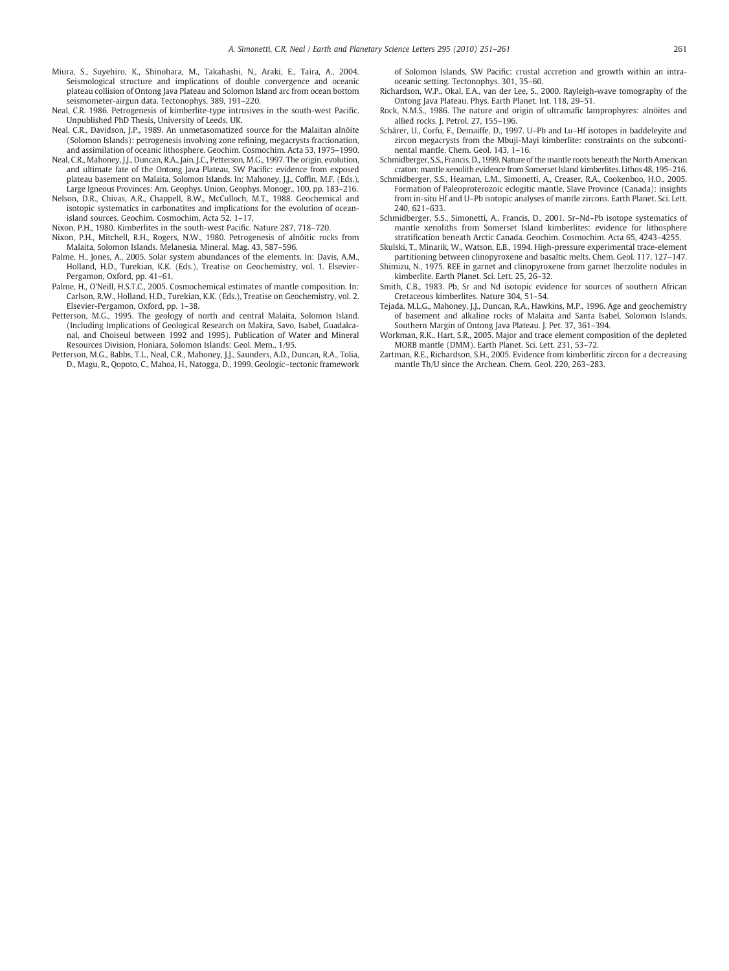- <span id="page-10-0"></span>Miura, S., Suyehiro, K., Shinohara, M., Takahashi, N., Araki, E., Taira, A., 2004. Seismological structure and implications of double convergence and oceanic plateau collision of Ontong Java Plateau and Solomon Island arc from ocean bottom seismometer-airgun data. Tectonophys. 389, 191–220.
- Neal, C.R. 1986. Petrogenesis of kimberlite-type intrusives in the south-west Pacific. Unpublished PhD Thesis, University of Leeds, UK.
- Neal, C.R., Davidson, J.P., 1989. An unmetasomatized source for the Malaitan alnöite (Solomon Islands): petrogenesis involving zone refining, megacrysts fractionation, and assimilation of oceanic lithosphere. Geochim. Cosmochim. Acta 53, 1975–1990.
- Neal, C.R., Mahoney, J.J., Duncan, R.A., Jain, J.C., Petterson, M.G., 1997. The origin, evolution, and ultimate fate of the Ontong Java Plateau, SW Pacific: evidence from exposed plateau basement on Malaita, Solomon Islands. In: Mahoney, J.J., Coffin, M.F. (Eds.), Large Igneous Provinces: Am. Geophys. Union, Geophys. Monogr., 100, pp. 183–216.
- Nelson, D.R., Chivas, A.R., Chappell, B.W., McCulloch, M.T., 1988. Geochemical and isotopic systematics in carbonatites and implications for the evolution of oceanisland sources. Geochim. Cosmochim. Acta 52, 1–17.

Nixon, P.H., 1980. Kimberlites in the south-west Pacific. Nature 287, 718–720.

- Nixon, P.H., Mitchell, R.H., Rogers, N.W., 1980. Petrogenesis of alnöitic rocks from Malaita, Solomon Islands. Melanesia. Mineral. Mag. 43, 587–596.
- Palme, H., Jones, A., 2005. Solar system abundances of the elements. In: Davis, A.M., Holland, H.D., Turekian, K.K. (Eds.), Treatise on Geochemistry, vol. 1. Elsevier-Pergamon, Oxford, pp. 41–61.
- Palme, H., O'Neill, H.S.T.C., 2005. Cosmochemical estimates of mantle composition. In: Carlson, R.W., Holland, H.D., Turekian, K.K. (Eds.), Treatise on Geochemistry, vol. 2. Elsevier-Pergamon, Oxford, pp. 1–38.
- Petterson, M.G., 1995. The geology of north and central Malaita, Solomon Island. (Including Implications of Geological Research on Makira, Savo, Isabel, Guadalcanal, and Choiseul between 1992 and 1995). Publication of Water and Mineral Resources Division, Honiara, Solomon Islands: Geol. Mem., 1/95.
- Petterson, M.G., Babbs, T.L., Neal, C.R., Mahoney, J.J., Saunders, A.D., Duncan, R.A., Tolia, D., Magu, R., Qopoto, C., Mahoa, H., Natogga, D., 1999. Geologic–tectonic framework

of Solomon Islands, SW Pacific: crustal accretion and growth within an intraoceanic setting. Tectonophys. 301, 35–60.

- Richardson, W.P., Okal, E.A., van der Lee, S., 2000. Rayleigh-wave tomography of the Ontong Java Plateau. Phys. Earth Planet. Int. 118, 29–51.
- Rock, N.M.S., 1986. The nature and origin of ultramafic lamprophyres: alnöites and allied rocks. J. Petrol. 27, 155–196.
- Schärer, U., Corfu, F., Demaiffe, D., 1997. U–Pb and Lu–Hf isotopes in baddeleyite and zircon megacrysts from the Mbuji-Mayi kimberlite: constraints on the subcontinental mantle. Chem. Geol. 143, 1–16.
- Schmidberger, S.S., Francis, D., 1999. Nature of the mantle roots beneath the North American craton: mantle xenolith evidence from Somerset Island kimberlites. Lithos 48, 195–216.
- Schmidberger, S.S., Heaman, L.M., Simonetti, A., Creaser, R.A., Cookenboo, H.O., 2005. Formation of Paleoproterozoic eclogitic mantle, Slave Province (Canada): insights from in-situ Hf and U–Pb isotopic analyses of mantle zircons. Earth Planet. Sci. Lett. 240, 621–633.
- Schmidberger, S.S., Simonetti, A., Francis, D., 2001. Sr–Nd–Pb isotope systematics of mantle xenoliths from Somerset Island kimberlites: evidence for lithosphere stratification beneath Arctic Canada. Geochim. Cosmochim. Acta 65, 4243–4255.
- Skulski, T., Minarik, W., Watson, E.B., 1994. High-pressure experimental trace-element partitioning between clinopyroxene and basaltic melts. Chem. Geol. 117, 127–147. Shimizu, N., 1975. REE in garnet and clinopyroxene from garnet lherzolite nodules in
- kimberlite. Earth Planet. Sci. Lett. 25, 26–32. Smith, C.B., 1983. Pb, Sr and Nd isotopic evidence for sources of southern African
- Cretaceous kimberlites. Nature 304, 51–54. Tejada, M.L.G., Mahoney, J.J., Duncan, R.A., Hawkins, M.P., 1996. Age and geochemistry of basement and alkaline rocks of Malaita and Santa Isabel, Solomon Islands,
- Southern Margin of Ontong Java Plateau. J. Pet. 37, 361–394. Workman, R.K., Hart, S.R., 2005. Major and trace element composition of the depleted
- MORB mantle (DMM). Earth Planet. Sci. Lett. 231, 53–72. Zartman, R.E., Richardson, S.H., 2005. Evidence from kimberlitic zircon for a decreasing
- mantle Th/U since the Archean. Chem. Geol. 220, 263–283.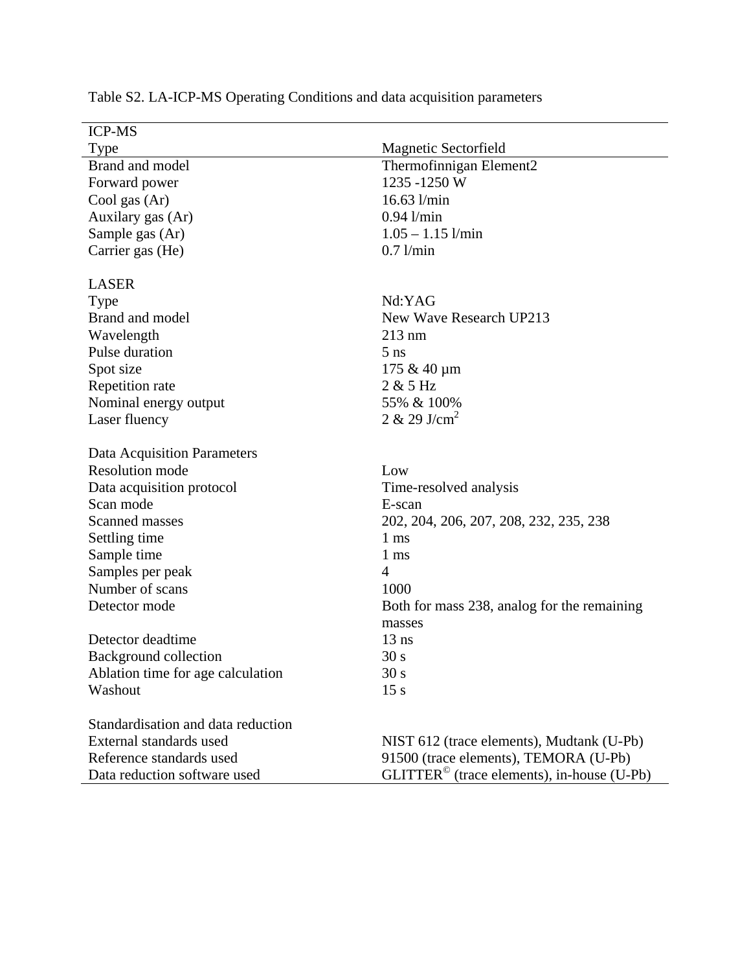| Magnetic Sectorfield                                |
|-----------------------------------------------------|
| Thermofinnigan Element2                             |
| 1235-1250W                                          |
| $16.63$ l/min                                       |
| $0.94$ l/min                                        |
| $1.05 - 1.15$ l/min                                 |
| $0.7$ l/min                                         |
|                                                     |
| Nd:YAG                                              |
| New Wave Research UP213                             |
| $213 \text{ nm}$                                    |
| $5$ ns                                              |
| 175 & 40 µm                                         |
| 2 & 5 Hz                                            |
| 55% & 100%                                          |
| $2 \& 29$ J/cm <sup>2</sup>                         |
|                                                     |
| Low                                                 |
| Time-resolved analysis                              |
| E-scan                                              |
| 202, 204, 206, 207, 208, 232, 235, 238              |
| $1 \text{ ms}$                                      |
| $1 \text{ ms}$                                      |
| $\overline{4}$                                      |
| 1000                                                |
| Both for mass 238, analog for the remaining         |
| masses                                              |
| $13$ ns                                             |
| 30 <sub>s</sub>                                     |
| 30 s                                                |
| 15 s                                                |
|                                                     |
| NIST 612 (trace elements), Mudtank (U-Pb)           |
| 91500 (trace elements), TEMORA (U-Pb)               |
| $GLITTER^{\circ}$ (trace elements), in-house (U-Pb) |
|                                                     |

Table S2. LA-ICP-MS Operating Conditions and data acquisition parameters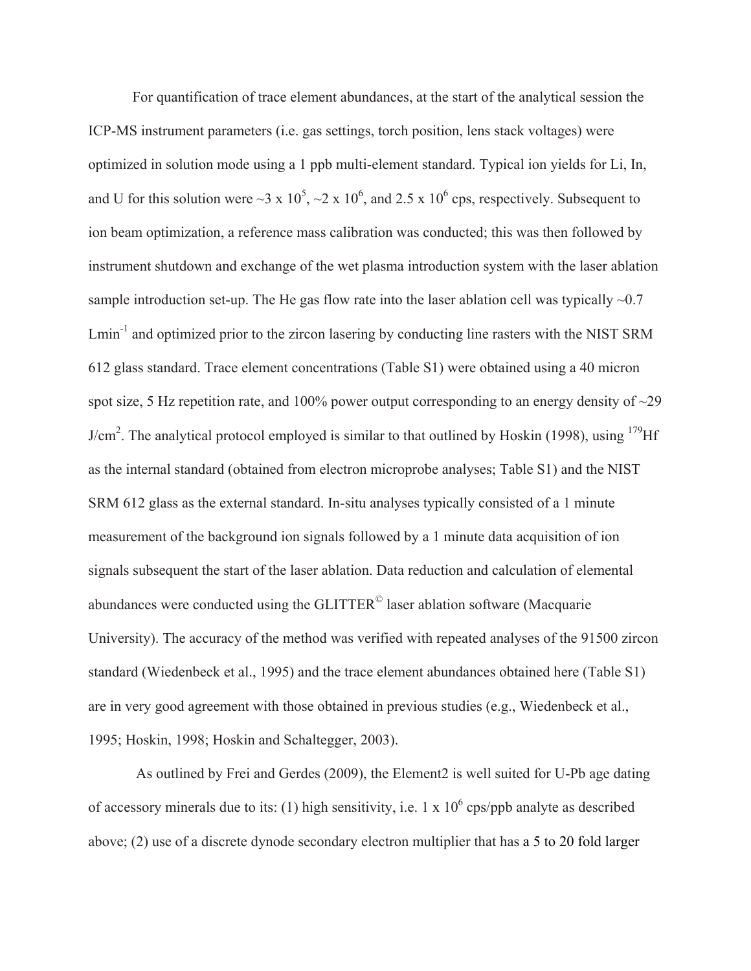For quantification of trace element abundances, at the start of the analytical session the ICP-MS instrument parameters (i.e. gas settings, torch position, lens stack voltages) were optimized in solution mode using a 1 ppb multi-element standard. Typical ion yields for Li, In, and U for this solution were  $\sim$ 3 x 10<sup>5</sup>,  $\sim$ 2 x 10<sup>6</sup>, and 2.5 x 10<sup>6</sup> cps, respectively. Subsequent to ion beam optimization, a reference mass calibration was conducted; this was then followed by instrument shutdown and exchange of the wet plasma introduction system with the laser ablation sample introduction set-up. The He gas flow rate into the laser ablation cell was typically  $\sim 0.7$ Lmin<sup>-1</sup> and optimized prior to the zircon lasering by conducting line rasters with the NIST SRM 612 glass standard. Trace element concentrations (Table S1) were obtained using a 40 micron spot size, 5 Hz repetition rate, and 100% power output corresponding to an energy density of  $\sim$ 29  $J/cm<sup>2</sup>$ . The analytical protocol employed is similar to that outlined by Hoskin (1998), using  $179$ Hf as the internal standard (obtained from electron microprobe analyses; Table S1) and the NIST SRM 612 glass as the external standard. In-situ analyses typically consisted of a 1 minute measurement of the background ion signals followed by a 1 minute data acquisition of ion signals subsequent the start of the laser ablation. Data reduction and calculation of elemental abundances were conducted using the GLITTER© laser ablation software (Macquarie University). The accuracy of the method was verified with repeated analyses of the 91500 zircon standard (Wiedenbeck et al., 1995) and the trace element abundances obtained here (Table S1) are in very good agreement with those obtained in previous studies (e.g., Wiedenbeck et al., 1995; Hoskin, 1998; Hoskin and Schaltegger, 2003).

 As outlined by Frei and Gerdes (2009), the Element2 is well suited for U-Pb age dating of accessory minerals due to its: (1) high sensitivity, i.e.  $1 \times 10^6$  cps/ppb analyte as described above; (2) use of a discrete dynode secondary electron multiplier that has a 5 to 20 fold larger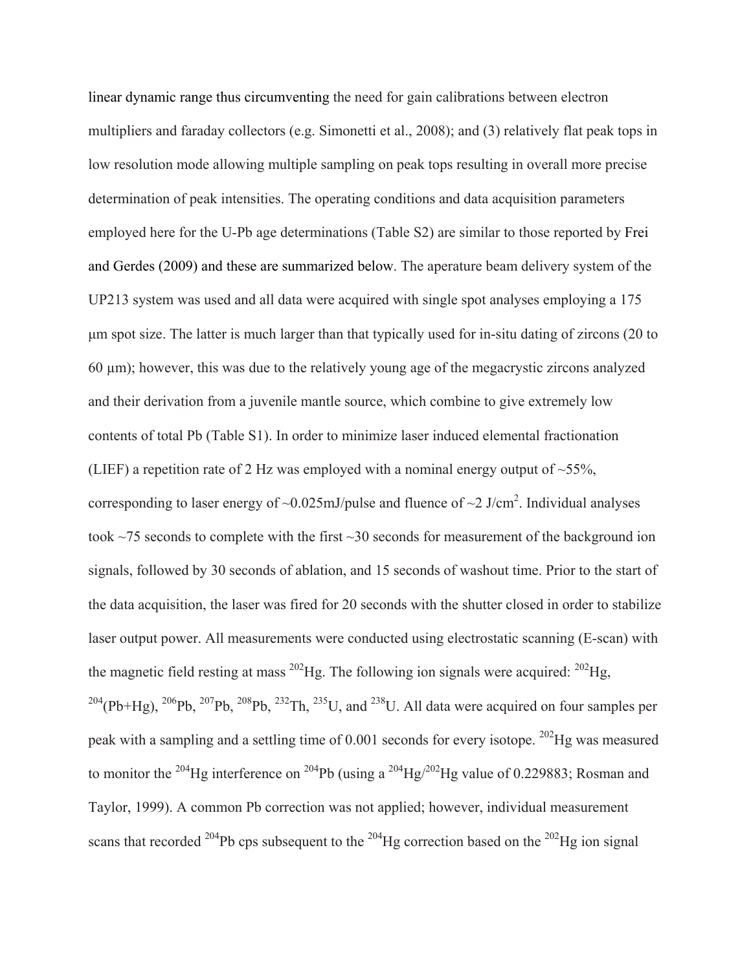linear dynamic range thus circumventing the need for gain calibrations between electron multipliers and faraday collectors (e.g. Simonetti et al., 2008); and (3) relatively flat peak tops in low resolution mode allowing multiple sampling on peak tops resulting in overall more precise determination of peak intensities. The operating conditions and data acquisition parameters employed here for the U-Pb age determinations (Table S2) are similar to those reported by Frei and Gerdes (2009) and these are summarized below. The aperature beam delivery system of the UP213 system was used and all data were acquired with single spot analyses employing a 175 μm spot size. The latter is much larger than that typically used for in-situ dating of zircons (20 to  $60 \mu m$ ); however, this was due to the relatively young age of the megacrystic zircons analyzed and their derivation from a juvenile mantle source, which combine to give extremely low contents of total Pb (Table S1). In order to minimize laser induced elemental fractionation (LIEF) a repetition rate of 2 Hz was employed with a nominal energy output of  $\sim$ 55%, corresponding to laser energy of  $\sim 0.025$  mJ/pulse and fluence of  $\sim 2$  J/cm<sup>2</sup>. Individual analyses took ~75 seconds to complete with the first ~30 seconds for measurement of the background ion signals, followed by 30 seconds of ablation, and 15 seconds of washout time. Prior to the start of the data acquisition, the laser was fired for 20 seconds with the shutter closed in order to stabilize laser output power. All measurements were conducted using electrostatic scanning (E-scan) with the magnetic field resting at mass  $^{202}$ Hg. The following ion signals were acquired:  $^{202}$ Hg,  $^{204}$ (Pb+Hg),  $^{206}$ Pb,  $^{207}$ Pb,  $^{208}$ Pb,  $^{232}$ Th,  $^{235}$ U, and  $^{238}$ U. All data were acquired on four samples per peak with a sampling and a settling time of  $0.001$  seconds for every isotope. <sup>202</sup>Hg was measured to monitor the <sup>204</sup>Hg interference on <sup>204</sup>Pb (using a <sup>204</sup>Hg/<sup>202</sup>Hg value of 0.229883; Rosman and Taylor, 1999). A common Pb correction was not applied; however, individual measurement scans that recorded <sup>204</sup>Pb cps subsequent to the <sup>204</sup>Hg correction based on the <sup>202</sup>Hg ion signal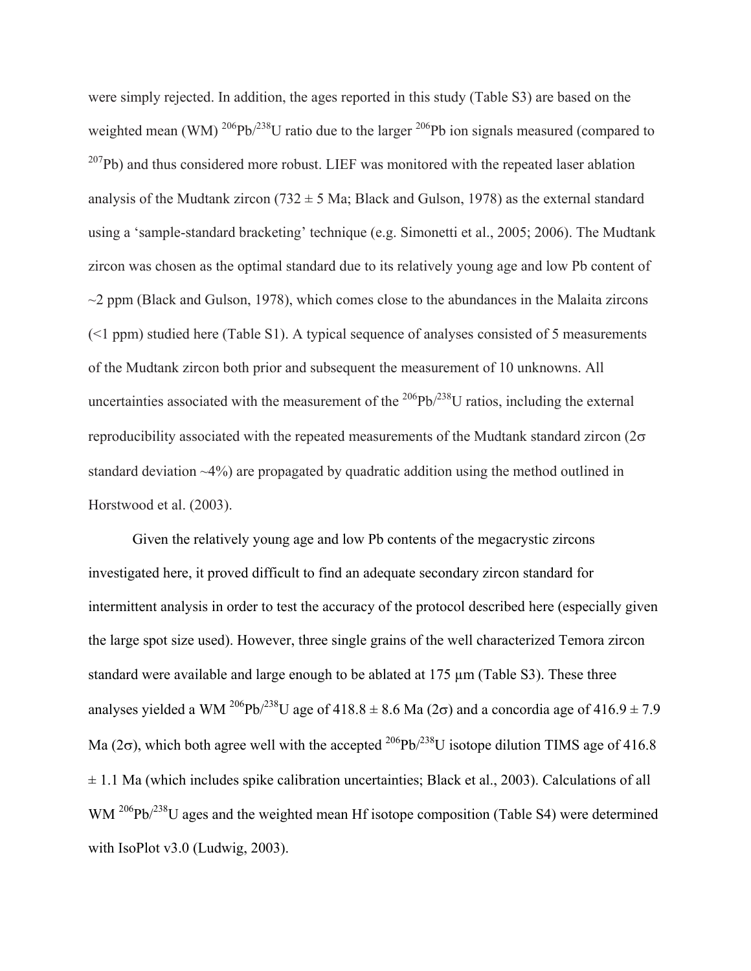were simply rejected. In addition, the ages reported in this study (Table S3) are based on the weighted mean (WM)  $^{206}Pb^{238}U$  ratio due to the larger  $^{206}Pb$  ion signals measured (compared to  $^{207}Pb$ ) and thus considered more robust. LIEF was monitored with the repeated laser ablation analysis of the Mudtank zircon (732  $\pm$  5 Ma; Black and Gulson, 1978) as the external standard using a 'sample-standard bracketing' technique (e.g. Simonetti et al., 2005; 2006). The Mudtank zircon was chosen as the optimal standard due to its relatively young age and low Pb content of  $\sim$ 2 ppm (Black and Gulson, 1978), which comes close to the abundances in the Malaita zircons  $(\leq 1$  ppm) studied here (Table S1). A typical sequence of analyses consisted of 5 measurements of the Mudtank zircon both prior and subsequent the measurement of 10 unknowns. All uncertainties associated with the measurement of the  $^{206}Pb^{238}U$  ratios, including the external reproducibility associated with the repeated measurements of the Mudtank standard zircon  $(2\sigma)$ standard deviation ~4%) are propagated by quadratic addition using the method outlined in Horstwood et al. (2003).

Given the relatively young age and low Pb contents of the megacrystic zircons investigated here, it proved difficult to find an adequate secondary zircon standard for intermittent analysis in order to test the accuracy of the protocol described here (especially given the large spot size used). However, three single grains of the well characterized Temora zircon standard were available and large enough to be ablated at 175  $\mu$ m (Table S3). These three analyses yielded a WM <sup>206</sup>Pb/<sup>238</sup>U age of 418.8  $\pm$  8.6 Ma (2 $\sigma$ ) and a concordia age of 416.9  $\pm$  7.9 Ma (2 $\sigma$ ), which both agree well with the accepted <sup>206</sup>Pb/<sup>238</sup>U isotope dilution TIMS age of 416.8  $\pm$  1.1 Ma (which includes spike calibration uncertainties; Black et al., 2003). Calculations of all WM <sup>206</sup>Pb/<sup>238</sup>U ages and the weighted mean Hf isotope composition (Table S4) were determined with IsoPlot v3.0 (Ludwig, 2003).